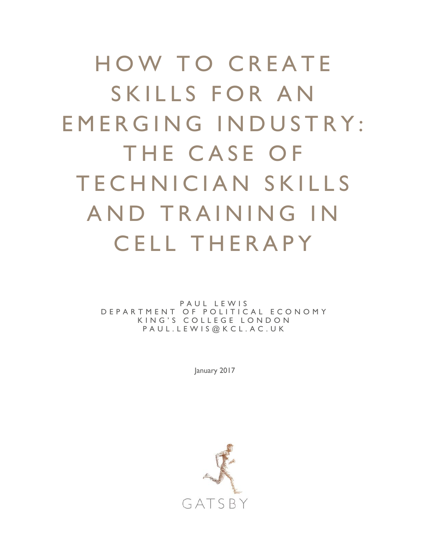HOW TO CREATE SKILLS FOR AN EMERGING INDUSTRY: THE CASE OF TECHNICIAN SKILLS AND TRAINING IN CELL THERAPY

> PAUL LEWIS DEPARTMENT OF POLITICAL ECONOMY KING'S COLLEGE LONDO N PAUL.LEWIS@KCL.AC.UK

> > January 2017

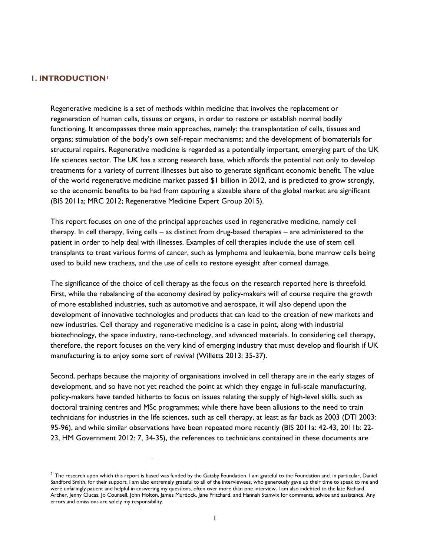#### **1. INTRODUCTION[1](#page-1-0)**

j

Regenerative medicine is a set of methods within medicine that involves the replacement or regeneration of human cells, tissues or organs, in order to restore or establish normal bodily functioning. It encompasses three main approaches, namely: the transplantation of cells, tissues and organs; stimulation of the body's own self-repair mechanisms; and the development of biomaterials for structural repairs. Regenerative medicine is regarded as a potentially important, emerging part of the UK life sciences sector. The UK has a strong research base, which affords the potential not only to develop treatments for a variety of current illnesses but also to generate significant economic benefit. The value of the world regenerative medicine market passed \$1 billion in 2012, and is predicted to grow strongly, so the economic benefits to be had from capturing a sizeable share of the global market are significant (BIS 2011a; MRC 2012; Regenerative Medicine Expert Group 2015).

This report focuses on one of the principal approaches used in regenerative medicine, namely cell therapy. In cell therapy, living cells – as distinct from drug-based therapies – are administered to the patient in order to help deal with illnesses. Examples of cell therapies include the use of stem cell transplants to treat various forms of cancer, such as lymphoma and leukaemia, bone marrow cells being used to build new tracheas, and the use of cells to restore eyesight after corneal damage.

The significance of the choice of cell therapy as the focus on the research reported here is threefold. First, while the rebalancing of the economy desired by policy-makers will of course require the growth of more established industries, such as automotive and aerospace, it will also depend upon the development of innovative technologies and products that can lead to the creation of new markets and new industries. Cell therapy and regenerative medicine is a case in point, along with industrial biotechnology, the space industry, nano-technology, and advanced materials. In considering cell therapy, therefore, the report focuses on the very kind of emerging industry that must develop and flourish if UK manufacturing is to enjoy some sort of revival (Willetts 2013: 35-37).

Second, perhaps because the majority of organisations involved in cell therapy are in the early stages of development, and so have not yet reached the point at which they engage in full-scale manufacturing, policy-makers have tended hitherto to focus on issues relating the supply of high-level skills, such as doctoral training centres and MSc programmes; while there have been allusions to the need to train technicians for industries in the life sciences, such as cell therapy, at least as far back as 2003 (DTI 2003: 95-96), and while similar observations have been repeated more recently (BIS 2011a: 42-43, 2011b: 22- 23, HM Government 2012: 7, 34-35), the references to technicians contained in these documents are

<span id="page-1-0"></span> $^1$  The research upon which this report is based was funded by the Gatsby Foundation. I am grateful to the Foundation and, in particular, Daniel Sandford Smith, for their support. I am also extremely grateful to all of the interviewees, who generously gave up their time to speak to me and were unfailingly patient and helpful in answering my questions, often over more than one interview. I am also indebted to the late Richard Archer, Jenny Clucas, Jo Counsell, John Holton, James Murdock, Jane Pritchard, and Hannah Stanwix for comments, advice and assistance. Any errors and omissions are solely my responsibility.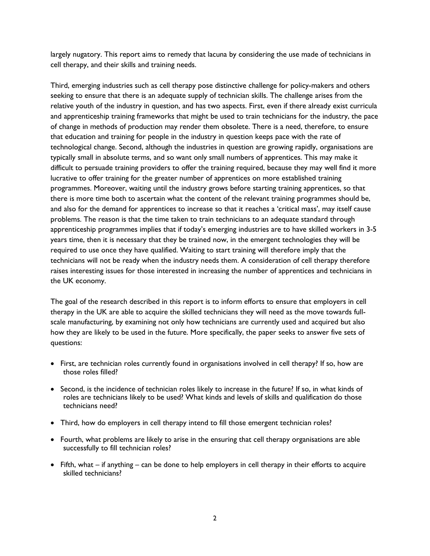largely nugatory. This report aims to remedy that lacuna by considering the use made of technicians in cell therapy, and their skills and training needs.

Third, emerging industries such as cell therapy pose distinctive challenge for policy-makers and others seeking to ensure that there is an adequate supply of technician skills. The challenge arises from the relative youth of the industry in question, and has two aspects. First, even if there already exist curricula and apprenticeship training frameworks that might be used to train technicians for the industry, the pace of change in methods of production may render them obsolete. There is a need, therefore, to ensure that education and training for people in the industry in question keeps pace with the rate of technological change. Second, although the industries in question are growing rapidly, organisations are typically small in absolute terms, and so want only small numbers of apprentices. This may make it difficult to persuade training providers to offer the training required, because they may well find it more lucrative to offer training for the greater number of apprentices on more established training programmes. Moreover, waiting until the industry grows before starting training apprentices, so that there is more time both to ascertain what the content of the relevant training programmes should be, and also for the demand for apprentices to increase so that it reaches a 'critical mass', may itself cause problems. The reason is that the time taken to train technicians to an adequate standard through apprenticeship programmes implies that if today's emerging industries are to have skilled workers in 3-5 years time, then it is necessary that they be trained now, in the emergent technologies they will be required to use once they have qualified. Waiting to start training will therefore imply that the technicians will not be ready when the industry needs them. A consideration of cell therapy therefore raises interesting issues for those interested in increasing the number of apprentices and technicians in the UK economy.

The goal of the research described in this report is to inform efforts to ensure that employers in cell therapy in the UK are able to acquire the skilled technicians they will need as the move towards fullscale manufacturing, by examining not only how technicians are currently used and acquired but also how they are likely to be used in the future. More specifically, the paper seeks to answer five sets of questions:

- First, are technician roles currently found in organisations involved in cell therapy? If so, how are those roles filled?
- Second, is the incidence of technician roles likely to increase in the future? If so, in what kinds of roles are technicians likely to be used? What kinds and levels of skills and qualification do those technicians need?
- Third, how do employers in cell therapy intend to fill those emergent technician roles?
- Fourth, what problems are likely to arise in the ensuring that cell therapy organisations are able successfully to fill technician roles?
- Fifth, what if anything can be done to help employers in cell therapy in their efforts to acquire skilled technicians?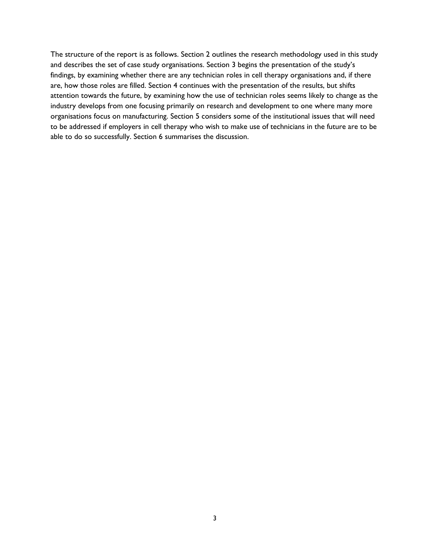The structure of the report is as follows. Section 2 outlines the research methodology used in this study and describes the set of case study organisations. Section 3 begins the presentation of the study's findings, by examining whether there are any technician roles in cell therapy organisations and, if there are, how those roles are filled. Section 4 continues with the presentation of the results, but shifts attention towards the future, by examining how the use of technician roles seems likely to change as the industry develops from one focusing primarily on research and development to one where many more organisations focus on manufacturing. Section 5 considers some of the institutional issues that will need to be addressed if employers in cell therapy who wish to make use of technicians in the future are to be able to do so successfully. Section 6 summarises the discussion.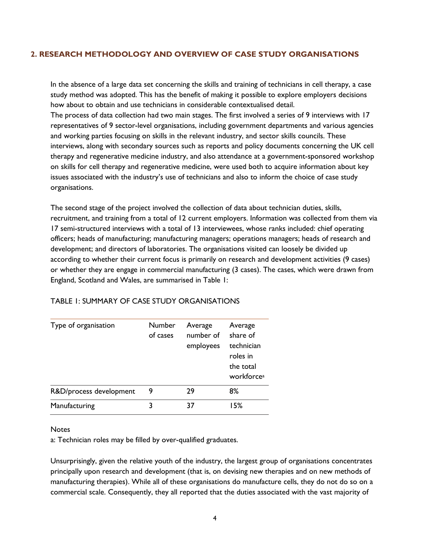## **2. RESEARCH METHODOLOGY AND OVERVIEW OF CASE STUDY ORGANISATIONS**

In the absence of a large data set concerning the skills and training of technicians in cell therapy, a case study method was adopted. This has the benefit of making it possible to explore employers decisions how about to obtain and use technicians in considerable contextualised detail.

The process of data collection had two main stages. The first involved a series of 9 interviews with 17 representatives of 9 sector-level organisations, including government departments and various agencies and working parties focusing on skills in the relevant industry, and sector skills councils. These interviews, along with secondary sources such as reports and policy documents concerning the UK cell therapy and regenerative medicine industry, and also attendance at a government-sponsored workshop on skills for cell therapy and regenerative medicine, were used both to acquire information about key issues associated with the industry's use of technicians and also to inform the choice of case study organisations.

The second stage of the project involved the collection of data about technician duties, skills, recruitment, and training from a total of 12 current employers. Information was collected from them via 17 semi-structured interviews with a total of 13 interviewees, whose ranks included: chief operating officers; heads of manufacturing; manufacturing managers; operations managers; heads of research and development; and directors of laboratories. The organisations visited can loosely be divided up according to whether their current focus is primarily on research and development activities (9 cases) or whether they are engage in commercial manufacturing (3 cases). The cases, which were drawn from England, Scotland and Wales, are summarised in Table 1:

| Type of organisation    | Number<br>of cases | Average<br>number of<br>employees | Average<br>share of<br>technician<br>roles in<br>the total<br>workforce <sup>a</sup> |
|-------------------------|--------------------|-----------------------------------|--------------------------------------------------------------------------------------|
| R&D/process development | 9                  | 29                                | 8%                                                                                   |
| Manufacturing           | 3                  | 37                                | 15%                                                                                  |

## TABLE 1: SUMMARY OF CASE STUDY ORGANISATIONS

#### **Notes**

a: Technician roles may be filled by over-qualified graduates.

Unsurprisingly, given the relative youth of the industry, the largest group of organisations concentrates principally upon research and development (that is, on devising new therapies and on new methods of manufacturing therapies). While all of these organisations do manufacture cells, they do not do so on a commercial scale. Consequently, they all reported that the duties associated with the vast majority of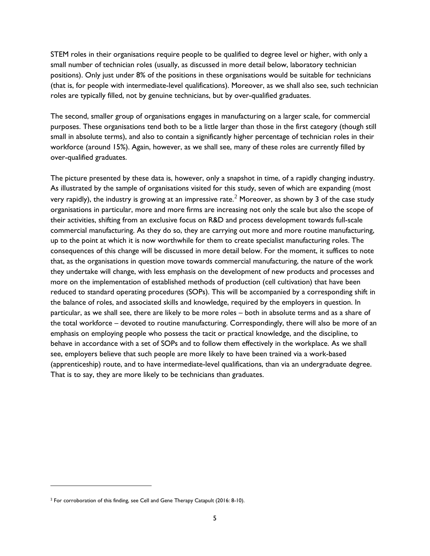STEM roles in their organisations require people to be qualified to degree level or higher, with only a small number of technician roles (usually, as discussed in more detail below, laboratory technician positions). Only just under 8% of the positions in these organisations would be suitable for technicians (that is, for people with intermediate-level qualifications). Moreover, as we shall also see, such technician roles are typically filled, not by genuine technicians, but by over-qualified graduates.

The second, smaller group of organisations engages in manufacturing on a larger scale, for commercial purposes. These organisations tend both to be a little larger than those in the first category (though still small in absolute terms), and also to contain a significantly higher percentage of technician roles in their workforce (around 15%). Again, however, as we shall see, many of these roles are currently filled by over-qualified graduates.

The picture presented by these data is, however, only a snapshot in time, of a rapidly changing industry. As illustrated by the sample of organisations visited for this study, seven of which are expanding (most very rapidly), the industry is growing at an impressive rate.<sup>[2](#page-5-0)</sup> Moreover, as shown by 3 of the case study organisations in particular, more and more firms are increasing not only the scale but also the scope of their activities, shifting from an exclusive focus on R&D and process development towards full-scale commercial manufacturing. As they do so, they are carrying out more and more routine manufacturing, up to the point at which it is now worthwhile for them to create specialist manufacturing roles. The consequences of this change will be discussed in more detail below. For the moment, it suffices to note that, as the organisations in question move towards commercial manufacturing, the nature of the work they undertake will change, with less emphasis on the development of new products and processes and more on the implementation of established methods of production (cell cultivation) that have been reduced to standard operating procedures (SOPs). This will be accompanied by a corresponding shift in the balance of roles, and associated skills and knowledge, required by the employers in question. In particular, as we shall see, there are likely to be more roles – both in absolute terms and as a share of the total workforce – devoted to routine manufacturing. Correspondingly, there will also be more of an emphasis on employing people who possess the tacit or practical knowledge, and the discipline, to behave in accordance with a set of SOPs and to follow them effectively in the workplace. As we shall see, employers believe that such people are more likely to have been trained via a work-based (apprenticeship) route, and to have intermediate-level qualifications, than via an undergraduate degree. That is to say, they are more likely to be technicians than graduates.

<span id="page-5-0"></span><sup>&</sup>lt;sup>2</sup> For corroboration of this finding, see Cell and Gene Therapy Catapult (2016: 8-10).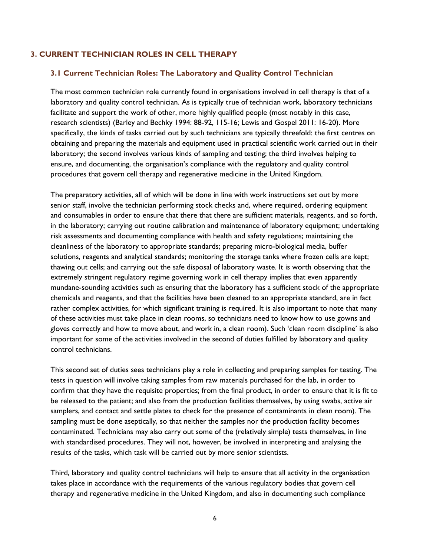### **3. CURRENT TECHNICIAN ROLES IN CELL THERAPY**

#### **3.1 Current Technician Roles: The Laboratory and Quality Control Technician**

The most common technician role currently found in organisations involved in cell therapy is that of a laboratory and quality control technician. As is typically true of technician work, laboratory technicians facilitate and support the work of other, more highly qualified people (most notably in this case, research scientists) (Barley and Bechky 1994: 88-92, 115-16; Lewis and Gospel 2011: 16-20). More specifically, the kinds of tasks carried out by such technicians are typically threefold: the first centres on obtaining and preparing the materials and equipment used in practical scientific work carried out in their laboratory; the second involves various kinds of sampling and testing; the third involves helping to ensure, and documenting, the organisation's compliance with the regulatory and quality control procedures that govern cell therapy and regenerative medicine in the United Kingdom.

The preparatory activities, all of which will be done in line with work instructions set out by more senior staff, involve the technician performing stock checks and, where required, ordering equipment and consumables in order to ensure that there that there are sufficient materials, reagents, and so forth, in the laboratory; carrying out routine calibration and maintenance of laboratory equipment; undertaking risk assessments and documenting compliance with health and safety regulations; maintaining the cleanliness of the laboratory to appropriate standards; preparing micro-biological media, buffer solutions, reagents and analytical standards; monitoring the storage tanks where frozen cells are kept; thawing out cells; and carrying out the safe disposal of laboratory waste. It is worth observing that the extremely stringent regulatory regime governing work in cell therapy implies that even apparently mundane-sounding activities such as ensuring that the laboratory has a sufficient stock of the appropriate chemicals and reagents, and that the facilities have been cleaned to an appropriate standard, are in fact rather complex activities, for which significant training is required. It is also important to note that many of these activities must take place in clean rooms, so technicians need to know how to use gowns and gloves correctly and how to move about, and work in, a clean room). Such 'clean room discipline' is also important for some of the activities involved in the second of duties fulfilled by laboratory and quality control technicians.

This second set of duties sees technicians play a role in collecting and preparing samples for testing. The tests in question will involve taking samples from raw materials purchased for the lab, in order to confirm that they have the requisite properties; from the final product, in order to ensure that it is fit to be released to the patient; and also from the production facilities themselves, by using swabs, active air samplers, and contact and settle plates to check for the presence of contaminants in clean room). The sampling must be done aseptically, so that neither the samples nor the production facility becomes contaminated. Technicians may also carry out some of the (relatively simple) tests themselves, in line with standardised procedures. They will not, however, be involved in interpreting and analysing the results of the tasks, which task will be carried out by more senior scientists.

Third, laboratory and quality control technicians will help to ensure that all activity in the organisation takes place in accordance with the requirements of the various regulatory bodies that govern cell therapy and regenerative medicine in the United Kingdom, and also in documenting such compliance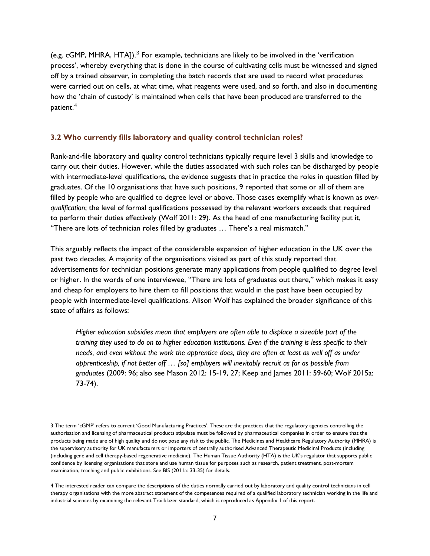(e.g. cGMP, MHRA, HTAJ).<sup>[3](#page-7-0)</sup> For example, technicians are likely to be involved in the 'verification process', whereby everything that is done in the course of cultivating cells must be witnessed and signed off by a trained observer, in completing the batch records that are used to record what procedures were carried out on cells, at what time, what reagents were used, and so forth, and also in documenting how the 'chain of custody' is maintained when cells that have been produced are transferred to the patient.[4](#page-7-1)

#### **3.2 Who currently fills laboratory and quality control technician roles?**

Rank-and-file laboratory and quality control technicians typically require level 3 skills and knowledge to carry out their duties. However, while the duties associated with such roles can be discharged by people with intermediate-level qualifications, the evidence suggests that in practice the roles in question filled by graduates. Of the 10 organisations that have such positions, 9 reported that some or all of them are filled by people who are qualified to degree level or above. Those cases exemplify what is known as *overqualification*; the level of formal qualifications possessed by the relevant workers exceeds that required to perform their duties effectively (Wolf 2011: 29). As the head of one manufacturing facility put it, "There are lots of technician roles filled by graduates … There's a real mismatch."

This arguably reflects the impact of the considerable expansion of higher education in the UK over the past two decades. A majority of the organisations visited as part of this study reported that advertisements for technician positions generate many applications from people qualified to degree level or higher. In the words of one interviewee, "There are lots of graduates out there," which makes it easy and cheap for employers to hire them to fill positions that would in the past have been occupied by people with intermediate-level qualifications. Alison Wolf has explained the broader significance of this state of affairs as follows:

*Higher education subsidies mean that employers are often able to displace a sizeable part of the training they used to do on to higher education institutions. Even if the training is less specific to their needs, and even without the work the apprentice does, they are often at least as well off as under apprenticeship, if not better off … [so] employers will inevitably recruit as far as possible from graduates* (2009: 96; also see Mason 2012: 15-19, 27; Keep and James 2011: 59-60; Wolf 2015a: 73-74).

j

<span id="page-7-0"></span><sup>3</sup> The term 'cGMP' refers to current 'Good Manufacturing Practices'. These are the practices that the regulatory agencies controlling the authorisation and licensing of pharmaceutical products stipulate must be followed by pharmaceutical companies in order to ensure that the products being made are of high quality and do not pose any risk to the public. The Medicines and Healthcare Regulatory Authority (MHRA) is the supervisory authority for UK manufacturers or importers of centrally authorised Advanced Therapeutic Medicinal Products (including (including gene and cell therapy-based regenerative medicine). The Human Tissue Authority (HTA) is the UK's regulator that supports public confidence by licensing organisations that store and use human tissue for purposes such as research, patient treatment, post-mortem examination, teaching and public exhibitions. See BIS (2011a: 33-35) for details.

<span id="page-7-1"></span><sup>4</sup> The interested reader can compare the descriptions of the duties normally carried out by laboratory and quality control technicians in cell therapy organisations with the more abstract statement of the competences required of a qualified laboratory technician working in the life and industrial sciences by examining the relevant Trailblazer standard, which is reproduced as Appendix 1 of this report.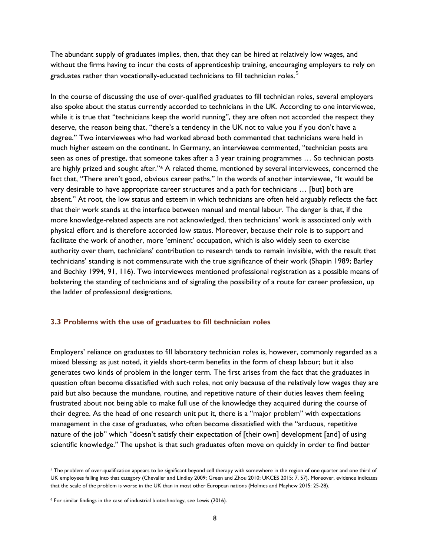The abundant supply of graduates implies, then, that they can be hired at relatively low wages, and without the firms having to incur the costs of apprenticeship training, encouraging employers to rely on graduates rather than vocationally-educated technicians to fill technician roles. $5$ 

In the course of discussing the use of over-qualified graduates to fill technician roles, several employers also spoke about the status currently accorded to technicians in the UK. According to one interviewee, while it is true that "technicians keep the world running", they are often not accorded the respect they deserve, the reason being that, "there's a tendency in the UK not to value you if you don't have a degree." Two interviewees who had worked abroad both commented that technicians were held in much higher esteem on the continent. In Germany, an interviewee commented, "technician posts are seen as ones of prestige, that someone takes after a 3 year training programmes ... So technician posts are highly prized and sought after.["6](#page-8-1) A related theme, mentioned by several interviewees, concerned the fact that, "There aren't good, obvious career paths." In the words of another interviewee, "It would be very desirable to have appropriate career structures and a path for technicians … [but] both are absent." At root, the low status and esteem in which technicians are often held arguably reflects the fact that their work stands at the interface between manual and mental labour. The danger is that, if the more knowledge-related aspects are not acknowledged, then technicians' work is associated only with physical effort and is therefore accorded low status. Moreover, because their role is to support and facilitate the work of another, more 'eminent' occupation, which is also widely seen to exercise authority over them, technicians' contribution to research tends to remain invisible, with the result that technicians' standing is not commensurate with the true significance of their work (Shapin 1989; Barley and Bechky 1994, 91, 116). Two interviewees mentioned professional registration as a possible means of bolstering the standing of technicians and of signaling the possibility of a route for career profession, up the ladder of professional designations.

### **3.3 Problems with the use of graduates to fill technician roles**

Employers' reliance on graduates to fill laboratory technician roles is, however, commonly regarded as a mixed blessing: as just noted, it yields short-term benefits in the form of cheap labour; but it also generates two kinds of problem in the longer term. The first arises from the fact that the graduates in question often become dissatisfied with such roles, not only because of the relatively low wages they are paid but also because the mundane, routine, and repetitive nature of their duties leaves them feeling frustrated about not being able to make full use of the knowledge they acquired during the course of their degree. As the head of one research unit put it, there is a "major problem" with expectations management in the case of graduates, who often become dissatisfied with the "arduous, repetitive nature of the job" which "doesn't satisfy their expectation of [their own] development [and] of using scientific knowledge." The upshot is that such graduates often move on quickly in order to find better

<span id="page-8-0"></span><sup>&</sup>lt;sup>5</sup> The problem of over-qualification appears to be significant beyond cell therapy with somewhere in the region of one quarter and one third of UK employees falling into that category (Chevalier and Lindley 2009; Green and Zhou 2010; UKCES 2015: 7, 57). Moreover, evidence indicates that the scale of the problem is worse in the UK than in most other European nations (Holmes and Mayhew 2015: 25-28).

<span id="page-8-1"></span><sup>6</sup> For similar findings in the case of industrial biotechnology, see Lewis (2016).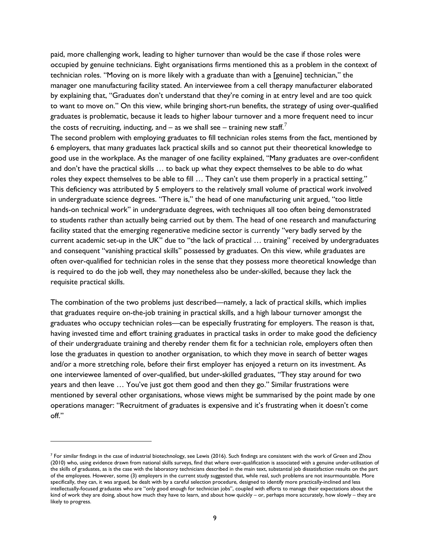paid, more challenging work, leading to higher turnover than would be the case if those roles were occupied by genuine technicians. Eight organisations firms mentioned this as a problem in the context of technician roles. "Moving on is more likely with a graduate than with a [genuine] technician," the manager one manufacturing facility stated. An interviewee from a cell therapy manufacturer elaborated by explaining that, "Graduates don't understand that they're coming in at entry level and are too quick to want to move on." On this view, while bringing short-run benefits, the strategy of using over-qualified graduates is problematic, because it leads to higher labour turnover and a more frequent need to incur the costs of recruiting, inducting, and – as we shall see – training new staff.<sup>[7](#page-9-0)</sup>

The second problem with employing graduates to fill technician roles stems from the fact, mentioned by 6 employers, that many graduates lack practical skills and so cannot put their theoretical knowledge to good use in the workplace. As the manager of one facility explained, "Many graduates are over-confident and don't have the practical skills … to back up what they expect themselves to be able to do what roles they expect themselves to be able to fill … They can't use them properly in a practical setting." This deficiency was attributed by 5 employers to the relatively small volume of practical work involved in undergraduate science degrees. "There is," the head of one manufacturing unit argued, "too little hands-on technical work" in undergraduate degrees, with techniques all too often being demonstrated to students rather than actually being carried out by them. The head of one research and manufacturing facility stated that the emerging regenerative medicine sector is currently "very badly served by the current academic set-up in the UK" due to "the lack of practical … training" received by undergraduates and consequent "vanishing practical skills" possessed by graduates. On this view, while graduates are often over-qualified for technician roles in the sense that they possess more theoretical knowledge than is required to do the job well, they may nonetheless also be under-skilled, because they lack the requisite practical skills.

The combination of the two problems just described—namely, a lack of practical skills, which implies that graduates require on-the-job training in practical skills, and a high labour turnover amongst the graduates who occupy technician roles—can be especially frustrating for employers. The reason is that, having invested time and effort training graduates in practical tasks in order to make good the deficiency of their undergraduate training and thereby render them fit for a technician role, employers often then lose the graduates in question to another organisation, to which they move in search of better wages and/or a more stretching role, before their first employer has enjoyed a return on its investment. As one interviewee lamented of over-qualified, but under-skilled graduates, "They stay around for two years and then leave … You've just got them good and then they go." Similar frustrations were mentioned by several other organisations, whose views might be summarised by the point made by one operations manager: "Recruitment of graduates is expensive and it's frustrating when it doesn't come off."

<span id="page-9-0"></span> $^7$  For similar findings in the case of industrial biotechnology, see Lewis (2016). Such findings are consistent with the work of Green and Zhou (2010) who, using evidence drawn from national skills surveys, find that where over-qualification is associated with a genuine under-utilisation of the skills of graduates, as is the case with the laboratory technicians described in the main text, substantial job dissatisfaction results on the part of the employees. However, some (3) employers in the current study suggested that, while real, such problems are not insurmountable. More specifically, they can, it was argued, be dealt with by a careful selection procedure, designed to identify more practically-inclined and less intellectually-focused graduates who are "only good enough for technician jobs", coupled with efforts to manage their expectations about the kind of work they are doing, about how much they have to learn, and about how quickly – or, perhaps more accurately, how slowly – they are likely to progress.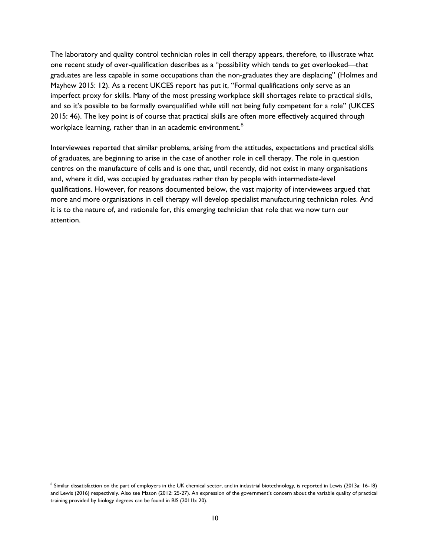The laboratory and quality control technician roles in cell therapy appears, therefore, to illustrate what one recent study of over-qualification describes as a "possibility which tends to get overlooked—that graduates are less capable in some occupations than the non-graduates they are displacing" (Holmes and Mayhew 2015: 12). As a recent UKCES report has put it, "Formal qualifications only serve as an imperfect proxy for skills. Many of the most pressing workplace skill shortages relate to practical skills, and so it's possible to be formally overqualified while still not being fully competent for a role" (UKCES 2015: 46). The key point is of course that practical skills are often more effectively acquired through workplace learning, rather than in an academic environment. $8$ 

Interviewees reported that similar problems, arising from the attitudes, expectations and practical skills of graduates, are beginning to arise in the case of another role in cell therapy. The role in question centres on the manufacture of cells and is one that, until recently, did not exist in many organisations and, where it did, was occupied by graduates rather than by people with intermediate-level qualifications. However, for reasons documented below, the vast majority of interviewees argued that more and more organisations in cell therapy will develop specialist manufacturing technician roles. And it is to the nature of, and rationale for, this emerging technician that role that we now turn our attention.

<span id="page-10-0"></span><sup>&</sup>lt;sup>8</sup> Similar dissatisfaction on the part of employers in the UK chemical sector, and in industrial biotechnology, is reported in Lewis (2013a: 16-18) and Lewis (2016) respectively. Also see Mason (2012: 25-27). An expression of the government's concern about the variable quality of practical training provided by biology degrees can be found in BIS (2011b: 20).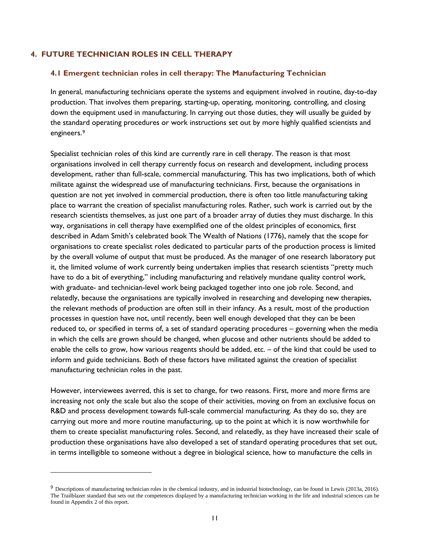#### **4. FUTURE TECHNICIAN ROLES IN CELL THERAPY**

j

#### **4.1 Emergent technician roles in cell therapy: The Manufacturing Technician**

In general, manufacturing technicians operate the systems and equipment involved in routine, day-to-day production. That involves them preparing, starting-up, operating, monitoring, controlling, and closing down the equipment used in manufacturing. In carrying out those duties, they will usually be guided by the standard operating procedures or work instructions set out by more highly qualified scientists and engineers.[9](#page-11-0)

Specialist technician roles of this kind are currently rare in cell therapy. The reason is that most organisations involved in cell therapy currently focus on research and development, including process development, rather than full-scale, commercial manufacturing. This has two implications, both of which militate against the widespread use of manufacturing technicians. First, because the organisations in question are not yet involved in commercial production, there is often too little manufacturing taking place to warrant the creation of specialist manufacturing roles. Rather, such work is carried out by the research scientists themselves, as just one part of a broader array of duties they must discharge. In this way, organisations in cell therapy have exemplified one of the oldest principles of economics, first described in Adam Smith's celebrated book The Wealth of Nations (1776), namely that the scope for organisations to create specialist roles dedicated to particular parts of the production process is limited by the overall volume of output that must be produced. As the manager of one research laboratory put it, the limited volume of work currently being undertaken implies that research scientists "pretty much have to do a bit of everything," including manufacturing and relatively mundane quality control work, with graduate- and technician-level work being packaged together into one job role. Second, and relatedly, because the organisations are typically involved in researching and developing new therapies, the relevant methods of production are often still in their infancy. As a result, most of the production processes in question have not, until recently, been well enough developed that they can be been reduced to, or specified in terms of, a set of standard operating procedures – governing when the media in which the cells are grown should be changed, when glucose and other nutrients should be added to enable the cells to grow, how various reagents should be added,  $etc. - of$  the kind that could be used to inform and guide technicians. Both of these factors have militated against the creation of specialist manufacturing technician roles in the past.

However, interviewees averred, this is set to change, for two reasons. First, more and more firms are increasing not only the scale but also the scope of their activities, moving on from an exclusive focus on R&D and process development towards full-scale commercial manufacturing. As they do so, they are carrying out more and more routine manufacturing, up to the point at which it is now worthwhile for them to create specialist manufacturing roles. Second, and relatedly, as they have increased their scale of production these organisations have also developed a set of standard operating procedures that set out, in terms intelligible to someone without a degree in biological science, how to manufacture the cells in

<span id="page-11-0"></span><sup>9</sup> Descriptions of manufacturing technician roles in the chemical industry, and in industrial biotechnology, can be found in Lewis (2013a, 2016). The Trailblazer standard that sets out the competences displayed by a manufacturing technician working in the life and industrial sciences can be found in Appendix 2 of this report.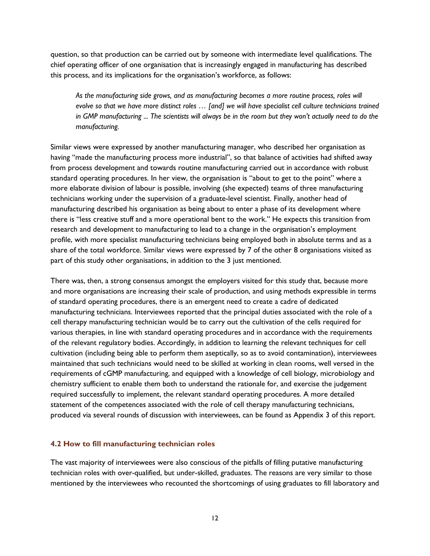question, so that production can be carried out by someone with intermediate level qualifications. The chief operating officer of one organisation that is increasingly engaged in manufacturing has described this process, and its implications for the organisation's workforce, as follows:

As the manufacturing side grows, and as manufacturing becomes a more routine process, roles will *evolve so that we have more distinct roles … [and] we will have specialist cell culture technicians trained in GMP manufacturing ... The scientists will always be in the room but they won't actually need to do the manufacturing.*

Similar views were expressed by another manufacturing manager, who described her organisation as having "made the manufacturing process more industrial", so that balance of activities had shifted away from process development and towards routine manufacturing carried out in accordance with robust standard operating procedures. In her view, the organisation is "about to get to the point" where a more elaborate division of labour is possible, involving (she expected) teams of three manufacturing technicians working under the supervision of a graduate-level scientist. Finally, another head of manufacturing described his organisation as being about to enter a phase of its development where there is "less creative stuff and a more operational bent to the work." He expects this transition from research and development to manufacturing to lead to a change in the organisation's employment profile, with more specialist manufacturing technicians being employed both in absolute terms and as a share of the total workforce. Similar views were expressed by 7 of the other 8 organisations visited as part of this study other organisations, in addition to the 3 just mentioned.

There was, then, a strong consensus amongst the employers visited for this study that, because more and more organisations are increasing their scale of production, and using methods expressible in terms of standard operating procedures, there is an emergent need to create a cadre of dedicated manufacturing technicians. Interviewees reported that the principal duties associated with the role of a cell therapy manufacturing technician would be to carry out the cultivation of the cells required for various therapies, in line with standard operating procedures and in accordance with the requirements of the relevant regulatory bodies. Accordingly, in addition to learning the relevant techniques for cell cultivation (including being able to perform them aseptically, so as to avoid contamination), interviewees maintained that such technicians would need to be skilled at working in clean rooms, well versed in the requirements of cGMP manufacturing, and equipped with a knowledge of cell biology, microbiology and chemistry sufficient to enable them both to understand the rationale for, and exercise the judgement required successfully to implement, the relevant standard operating procedures. A more detailed statement of the competences associated with the role of cell therapy manufacturing technicians, produced via several rounds of discussion with interviewees, can be found as Appendix 3 of this report.

#### **4.2 How to fill manufacturing technician roles**

The vast majority of interviewees were also conscious of the pitfalls of filling putative manufacturing technician roles with over-qualified, but under-skilled, graduates. The reasons are very similar to those mentioned by the interviewees who recounted the shortcomings of using graduates to fill laboratory and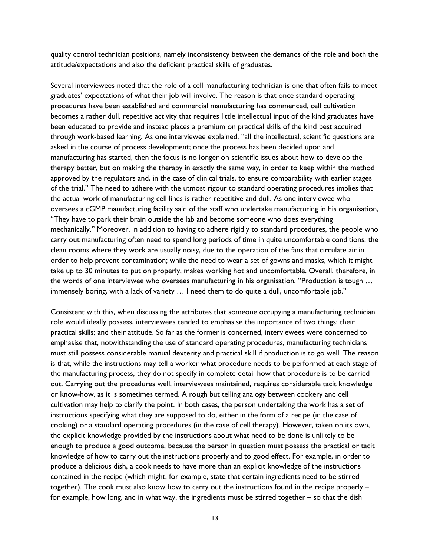quality control technician positions, namely inconsistency between the demands of the role and both the attitude/expectations and also the deficient practical skills of graduates.

Several interviewees noted that the role of a cell manufacturing technician is one that often fails to meet graduates' expectations of what their job will involve. The reason is that once standard operating procedures have been established and commercial manufacturing has commenced, cell cultivation becomes a rather dull, repetitive activity that requires little intellectual input of the kind graduates have been educated to provide and instead places a premium on practical skills of the kind best acquired through work-based learning. As one interviewee explained, "all the intellectual, scientific questions are asked in the course of process development; once the process has been decided upon and manufacturing has started, then the focus is no longer on scientific issues about how to develop the therapy better, but on making the therapy in exactly the same way, in order to keep within the method approved by the regulators and, in the case of clinical trials, to ensure comparability with earlier stages of the trial." The need to adhere with the utmost rigour to standard operating procedures implies that the actual work of manufacturing cell lines is rather repetitive and dull. As one interviewee who oversees a cGMP manufacturing facility said of the staff who undertake manufacturing in his organisation, "They have to park their brain outside the lab and become someone who does everything mechanically." Moreover, in addition to having to adhere rigidly to standard procedures, the people who carry out manufacturing often need to spend long periods of time in quite uncomfortable conditions: the clean rooms where they work are usually noisy, due to the operation of the fans that circulate air in order to help prevent contamination; while the need to wear a set of gowns and masks, which it might take up to 30 minutes to put on properly, makes working hot and uncomfortable. Overall, therefore, in the words of one interviewee who oversees manufacturing in his organisation, "Production is tough … immensely boring, with a lack of variety … I need them to do quite a dull, uncomfortable job."

Consistent with this, when discussing the attributes that someone occupying a manufacturing technician role would ideally possess, interviewees tended to emphasise the importance of two things: their practical skills; and their attitude. So far as the former is concerned, interviewees were concerned to emphasise that, notwithstanding the use of standard operating procedures, manufacturing technicians must still possess considerable manual dexterity and practical skill if production is to go well. The reason is that, while the instructions may tell a worker what procedure needs to be performed at each stage of the manufacturing process, they do not specify in complete detail how that procedure is to be carried out. Carrying out the procedures well, interviewees maintained, requires considerable tacit knowledge or know-how, as it is sometimes termed. A rough but telling analogy between cookery and cell cultivation may help to clarify the point. In both cases, the person undertaking the work has a set of instructions specifying what they are supposed to do, either in the form of a recipe (in the case of cooking) or a standard operating procedures (in the case of cell therapy). However, taken on its own, the explicit knowledge provided by the instructions about what need to be done is unlikely to be enough to produce a good outcome, because the person in question must possess the practical or tacit knowledge of how to carry out the instructions properly and to good effect. For example, in order to produce a delicious dish, a cook needs to have more than an explicit knowledge of the instructions contained in the recipe (which might, for example, state that certain ingredients need to be stirred together). The cook must also know how to carry out the instructions found in the recipe properly – for example, how long, and in what way, the ingredients must be stirred together – so that the dish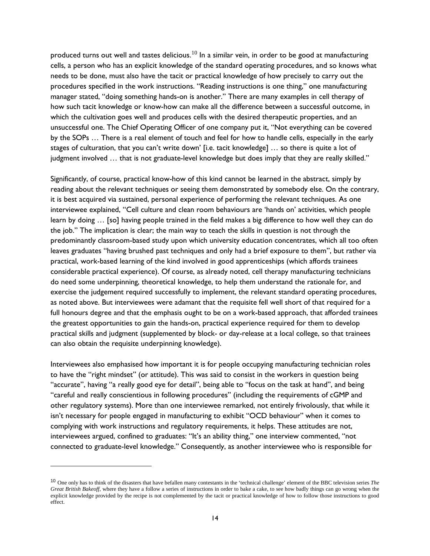produced turns out well and tastes delicious.<sup>[10](#page-14-0)</sup> In a similar vein, in order to be good at manufacturing cells, a person who has an explicit knowledge of the standard operating procedures, and so knows what needs to be done, must also have the tacit or practical knowledge of how precisely to carry out the procedures specified in the work instructions. "Reading instructions is one thing," one manufacturing manager stated, "doing something hands-on is another." There are many examples in cell therapy of how such tacit knowledge or know-how can make all the difference between a successful outcome, in which the cultivation goes well and produces cells with the desired therapeutic properties, and an unsuccessful one. The Chief Operating Officer of one company put it, "Not everything can be covered by the SOPs … There is a real element of touch and feel for how to handle cells, especially in the early stages of culturation, that you can't write down' [i.e. tacit knowledge] … so there is quite a lot of judgment involved ... that is not graduate-level knowledge but does imply that they are really skilled."

Significantly, of course, practical know-how of this kind cannot be learned in the abstract, simply by reading about the relevant techniques or seeing them demonstrated by somebody else. On the contrary, it is best acquired via sustained, personal experience of performing the relevant techniques. As one interviewee explained, "Cell culture and clean room behaviours are 'hands on' activities, which people learn by doing … [so] having people trained in the field makes a big difference to how well they can do the job." The implication is clear; the main way to teach the skills in question is not through the predominantly classroom-based study upon which university education concentrates, which all too often leaves graduates "having brushed past techniques and only had a brief exposure to them", but rather via practical, work-based learning of the kind involved in good apprenticeships (which affords trainees considerable practical experience). Of course, as already noted, cell therapy manufacturing technicians do need some underpinning, theoretical knowledge, to help them understand the rationale for, and exercise the judgement required successfully to implement, the relevant standard operating procedures, as noted above. But interviewees were adamant that the requisite fell well short of that required for a full honours degree and that the emphasis ought to be on a work-based approach, that afforded trainees the greatest opportunities to gain the hands-on, practical experience required for them to develop practical skills and judgment (supplemented by block- or day-release at a local college, so that trainees can also obtain the requisite underpinning knowledge).

Interviewees also emphasised how important it is for people occupying manufacturing technician roles to have the "right mindset" (or attitude). This was said to consist in the workers in question being "accurate", having "a really good eye for detail", being able to "focus on the task at hand", and being "careful and really conscientious in following procedures" (including the requirements of cGMP and other regulatory systems). More than one interviewee remarked, not entirely frivolously, that while it isn't necessary for people engaged in manufacturing to exhibit "OCD behaviour" when it comes to complying with work instructions and regulatory requirements, it helps. These attitudes are not, interviewees argued, confined to graduates: "It's an ability thing," one interview commented, "not connected to graduate-level knowledge." Consequently, as another interviewee who is responsible for

<span id="page-14-0"></span><sup>10</sup> One only has to think of the disasters that have befallen many contestants in the 'technical challenge' element of the BBC television series *The Great British Bakeoff*, where they have a follow a series of instructions in order to bake a cake, to see how badly things can go wrong when the explicit knowledge provided by the recipe is not complemented by the tacit or practical knowledge of how to follow those instructions to good effect.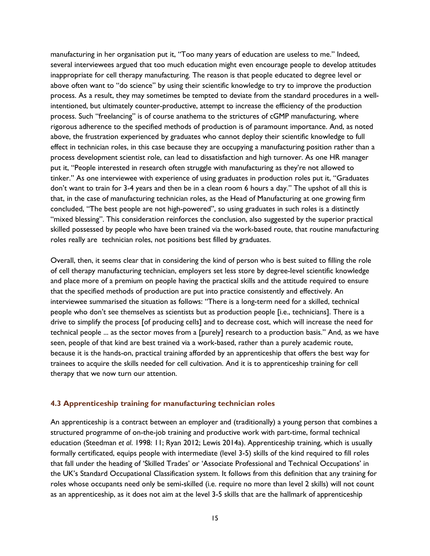manufacturing in her organisation put it, "Too many years of education are useless to me." Indeed, several interviewees argued that too much education might even encourage people to develop attitudes inappropriate for cell therapy manufacturing. The reason is that people educated to degree level or above often want to "do science" by using their scientific knowledge to try to improve the production process. As a result, they may sometimes be tempted to deviate from the standard procedures in a wellintentioned, but ultimately counter-productive, attempt to increase the efficiency of the production process. Such "freelancing" is of course anathema to the strictures of cGMP manufacturing, where rigorous adherence to the specified methods of production is of paramount importance. And, as noted above, the frustration experienced by graduates who cannot deploy their scientific knowledge to full effect in technician roles, in this case because they are occupying a manufacturing position rather than a process development scientist role, can lead to dissatisfaction and high turnover. As one HR manager put it, "People interested in research often struggle with manufacturing as they're not allowed to tinker." As one interviewee with experience of using graduates in production roles put it, "Graduates don't want to train for 3-4 years and then be in a clean room 6 hours a day." The upshot of all this is that, in the case of manufacturing technician roles, as the Head of Manufacturing at one growing firm concluded, "The best people are not high-powered", so using graduates in such roles is a distinctly "mixed blessing". This consideration reinforces the conclusion, also suggested by the superior practical skilled possessed by people who have been trained via the work-based route, that routine manufacturing roles really are technician roles, not positions best filled by graduates.

Overall, then, it seems clear that in considering the kind of person who is best suited to filling the role of cell therapy manufacturing technician, employers set less store by degree-level scientific knowledge and place more of a premium on people having the practical skills and the attitude required to ensure that the specified methods of production are put into practice consistently and effectively. An interviewee summarised the situation as follows: "There is a long-term need for a skilled, technical people who don't see themselves as scientists but as production people [i.e., technicians]. There is a drive to simplify the process [of producing cells] and to decrease cost, which will increase the need for technical people ... as the sector moves from a [purely] research to a production basis." And, as we have seen, people of that kind are best trained via a work-based, rather than a purely academic route, because it is the hands-on, practical training afforded by an apprenticeship that offers the best way for trainees to acquire the skills needed for cell cultivation. And it is to apprenticeship training for cell therapy that we now turn our attention.

## **4.3 Apprenticeship training for manufacturing technician roles**

An apprenticeship is a contract between an employer and (traditionally) a young person that combines a structured programme of on-the-job training and productive work with part-time, formal technical education (Steedman *et al*. 1998: 11; Ryan 2012; Lewis 2014a). Apprenticeship training, which is usually formally certificated, equips people with intermediate (level 3-5) skills of the kind required to fill roles that fall under the heading of 'Skilled Trades' or 'Associate Professional and Technical Occupations' in the UK's Standard Occupational Classification system. It follows from this definition that any training for roles whose occupants need only be semi-skilled (i.e. require no more than level 2 skills) will not count as an apprenticeship, as it does not aim at the level 3-5 skills that are the hallmark of apprenticeship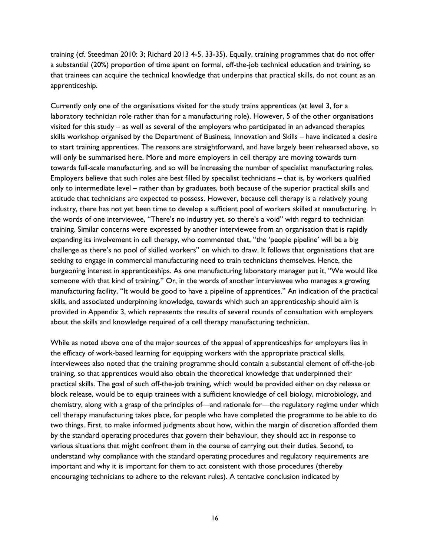training (cf. Steedman 2010: 3; Richard 2013 4-5, 33-35). Equally, training programmes that do not offer a substantial (20%) proportion of time spent on formal, off-the-job technical education and training, so that trainees can acquire the technical knowledge that underpins that practical skills, do not count as an apprenticeship.

Currently only one of the organisations visited for the study trains apprentices (at level 3, for a laboratory technician role rather than for a manufacturing role). However, 5 of the other organisations visited for this study – as well as several of the employers who participated in an advanced therapies skills workshop organised by the Department of Business, Innovation and Skills – have indicated a desire to start training apprentices. The reasons are straightforward, and have largely been rehearsed above, so will only be summarised here. More and more employers in cell therapy are moving towards turn towards full-scale manufacturing, and so will be increasing the number of specialist manufacturing roles. Employers believe that such roles are best filled by specialist technicians – that is, by workers qualified only to intermediate level – rather than by graduates, both because of the superior practical skills and attitude that technicians are expected to possess. However, because cell therapy is a relatively young industry, there has not yet been time to develop a sufficient pool of workers skilled at manufacturing. In the words of one interviewee, "There's no industry yet, so there's a void" with regard to technician training. Similar concerns were expressed by another interviewee from an organisation that is rapidly expanding its involvement in cell therapy, who commented that, "the 'people pipeline' will be a big challenge as there's no pool of skilled workers" on which to draw. It follows that organisations that are seeking to engage in commercial manufacturing need to train technicians themselves. Hence, the burgeoning interest in apprenticeships. As one manufacturing laboratory manager put it, "We would like someone with that kind of training." Or, in the words of another interviewee who manages a growing manufacturing facility, "It would be good to have a pipeline of apprentices." An indication of the practical skills, and associated underpinning knowledge, towards which such an apprenticeship should aim is provided in Appendix 3, which represents the results of several rounds of consultation with employers about the skills and knowledge required of a cell therapy manufacturing technician.

While as noted above one of the major sources of the appeal of apprenticeships for employers lies in the efficacy of work-based learning for equipping workers with the appropriate practical skills, interviewees also noted that the training programme should contain a substantial element of off-the-job training, so that apprentices would also obtain the theoretical knowledge that underpinned their practical skills. The goal of such off-the-job training, which would be provided either on day release or block release, would be to equip trainees with a sufficient knowledge of cell biology, microbiology, and chemistry, along with a grasp of the principles of—and rationale for—the regulatory regime under which cell therapy manufacturing takes place, for people who have completed the programme to be able to do two things. First, to make informed judgments about how, within the margin of discretion afforded them by the standard operating procedures that govern their behaviour, they should act in response to various situations that might confront them in the course of carrying out their duties. Second, to understand why compliance with the standard operating procedures and regulatory requirements are important and why it is important for them to act consistent with those procedures (thereby encouraging technicians to adhere to the relevant rules). A tentative conclusion indicated by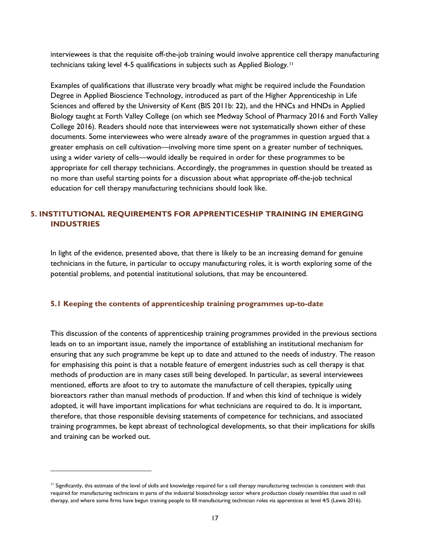interviewees is that the requisite off-the-job training would involve apprentice cell therapy manufacturing technicians taking level 4-5 qualifications in subjects such as Applied Biology.[11](#page-17-0)

Examples of qualifications that illustrate very broadly what might be required include the Foundation Degree in Applied Bioscience Technology, introduced as part of the Higher Apprenticeship in Life Sciences and offered by the University of Kent (BIS 2011b: 22), and the HNCs and HNDs in Applied Biology taught at Forth Valley College (on which see Medway School of Pharmacy 2016 and Forth Valley College 2016). Readers should note that interviewees were not systematically shown either of these documents. Some interviewees who were already aware of the programmes in question argued that a greater emphasis on cell cultivation—involving more time spent on a greater number of techniques, using a wider variety of cells—would ideally be required in order for these programmes to be appropriate for cell therapy technicians. Accordingly, the programmes in question should be treated as no more than useful starting points for a discussion about what appropriate off-the-job technical education for cell therapy manufacturing technicians should look like.

# **5. INSTITUTIONAL REQUIREMENTS FOR APPRENTICESHIP TRAINING IN EMERGING INDUSTRIES**

In light of the evidence, presented above, that there is likely to be an increasing demand for genuine technicians in the future, in particular to occupy manufacturing roles, it is worth exploring some of the potential problems, and potential institutional solutions, that may be encountered.

#### **5.1 Keeping the contents of apprenticeship training programmes up-to-date**

This discussion of the contents of apprenticeship training programmes provided in the previous sections leads on to an important issue, namely the importance of establishing an institutional mechanism for ensuring that any such programme be kept up to date and attuned to the needs of industry. The reason for emphasising this point is that a notable feature of emergent industries such as cell therapy is that methods of production are in many cases still being developed. In particular, as several interviewees mentioned, efforts are afoot to try to automate the manufacture of cell therapies, typically using bioreactors rather than manual methods of production. If and when this kind of technique is widely adopted, it will have important implications for what technicians are required to do. It is important, therefore, that those responsible devising statements of competence for technicians, and associated training programmes, be kept abreast of technological developments, so that their implications for skills and training can be worked out.

<span id="page-17-0"></span><sup>&</sup>lt;sup>11</sup> Significantly, this estimate of the level of skills and knowledge required for a cell therapy manufacturing technician is consistent with that required for manufacturing technicians in parts of the industrial biotechnology sector where production closely resembles that used in cell therapy, and where some firms have begun training people to fill manufacturing technician roles via apprentices at level 4/5 (Lewis 2016).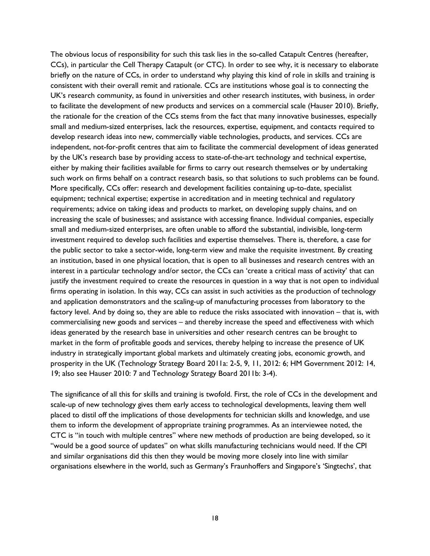The obvious locus of responsibility for such this task lies in the so-called Catapult Centres (hereafter, CCs), in particular the Cell Therapy Catapult (or CTC). In order to see why, it is necessary to elaborate briefly on the nature of CCs, in order to understand why playing this kind of role in skills and training is consistent with their overall remit and rationale. CCs are institutions whose goal is to connecting the UK's research community, as found in universities and other research institutes, with business, in order to facilitate the development of new products and services on a commercial scale (Hauser 2010). Briefly, the rationale for the creation of the CCs stems from the fact that many innovative businesses, especially small and medium-sized enterprises, lack the resources, expertise, equipment, and contacts required to develop research ideas into new, commercially viable technologies, products, and services. CCs are independent, not-for-profit centres that aim to facilitate the commercial development of ideas generated by the UK's research base by providing access to state-of-the-art technology and technical expertise, either by making their facilities available for firms to carry out research themselves or by undertaking such work on firms behalf on a contract research basis, so that solutions to such problems can be found. More specifically, CCs offer: research and development facilities containing up-to-date, specialist equipment; technical expertise; expertise in accreditation and in meeting technical and regulatory requirements; advice on taking ideas and products to market, on developing supply chains, and on increasing the scale of businesses; and assistance with accessing finance. Individual companies, especially small and medium-sized enterprises, are often unable to afford the substantial, indivisible, long-term investment required to develop such facilities and expertise themselves. There is, therefore, a case for the public sector to take a sector-wide, long-term view and make the requisite investment. By creating an institution, based in one physical location, that is open to all businesses and research centres with an interest in a particular technology and/or sector, the CCs can 'create a critical mass of activity' that can justify the investment required to create the resources in question in a way that is not open to individual firms operating in isolation. In this way, CCs can assist in such activities as the production of technology and application demonstrators and the scaling-up of manufacturing processes from laboratory to the factory level. And by doing so, they are able to reduce the risks associated with innovation – that is, with commercialising new goods and services – and thereby increase the speed and effectiveness with which ideas generated by the research base in universities and other research centres can be brought to market in the form of profitable goods and services, thereby helping to increase the presence of UK industry in strategically important global markets and ultimately creating jobs, economic growth, and prosperity in the UK (Technology Strategy Board 2011a: 2-5, 9, 11, 2012: 6; HM Government 2012: 14, 19; also see Hauser 2010: 7 and Technology Strategy Board 2011b: 3-4).

The significance of all this for skills and training is twofold. First, the role of CCs in the development and scale-up of new technology gives them early access to technological developments, leaving them well placed to distil off the implications of those developments for technician skills and knowledge, and use them to inform the development of appropriate training programmes. As an interviewee noted, the CTC is "in touch with multiple centres" where new methods of production are being developed, so it "would be a good source of updates" on what skills manufacturing technicians would need. If the CPI and similar organisations did this then they would be moving more closely into line with similar organisations elsewhere in the world, such as Germany's Fraunhoffers and Singapore's 'Singtechs', that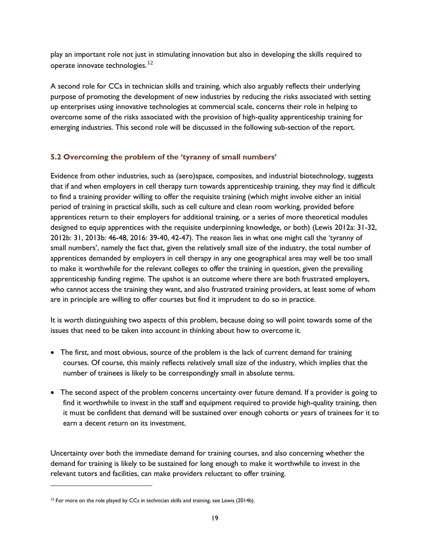play an important role not just in stimulating innovation but also in developing the skills required to operate innovate technologies. $12$ 

A second role for CCs in technician skills and training, which also arguably reflects their underlying purpose of promoting the development of new industries by reducing the risks associated with setting up enterprises using innovative technologies at commercial scale, concerns their role in helping to overcome some of the risks associated with the provision of high-quality apprenticeship training for emerging industries. This second role will be discussed in the following sub-section of the report.

# **5.2 Overcoming the problem of the 'tyranny of small numbers'**

Evidence from other industries, such as (aero)space, composites, and industrial biotechnology, suggests that if and when employers in cell therapy turn towards apprenticeship training, they may find it difficult to find a training provider willing to offer the requisite training (which might involve either an initial period of training in practical skills, such as cell culture and clean room working, provided before apprentices return to their employers for additional training, or a series of more theoretical modules designed to equip apprentices with the requisite underpinning knowledge, or both) (Lewis 2012a: 31-32, 2012b: 31, 2013b: 46-48, 2016: 39-40, 42-47). The reason lies in what one might call the 'tyranny of small numbers', namely the fact that, given the relatively small size of the industry, the total number of apprentices demanded by employers in cell therapy in any one geographical area may well be too small to make it worthwhile for the relevant colleges to offer the training in question, given the prevailing apprenticeship funding regime. The upshot is an outcome where there are both frustrated employers, who cannot access the training they want, and also frustrated training providers, at least some of whom are in principle are willing to offer courses but find it imprudent to do so in practice.

It is worth distinguishing two aspects of this problem, because doing so will point towards some of the issues that need to be taken into account in thinking about how to overcome it.

- The first, and most obvious, source of the problem is the lack of current demand for training courses. Of course, this mainly reflects relatively small size of the industry, which implies that the number of trainees is likely to be correspondingly small in absolute terms.
- The second aspect of the problem concerns uncertainty over future demand. If a provider is going to find it worthwhile to invest in the staff and equipment required to provide high-quality training, then it must be confident that demand will be sustained over enough cohorts or years of trainees for it to earn a decent return on its investment.

Uncertainty over both the immediate demand for training courses, and also concerning whether the demand for training is likely to be sustained for long enough to make it worthwhile to invest in the relevant tutors and facilities, can make providers reluctant to offer training.

<span id="page-19-0"></span> $12$  For more on the role played by CCs in technician skills and training, see Lewis (2014b).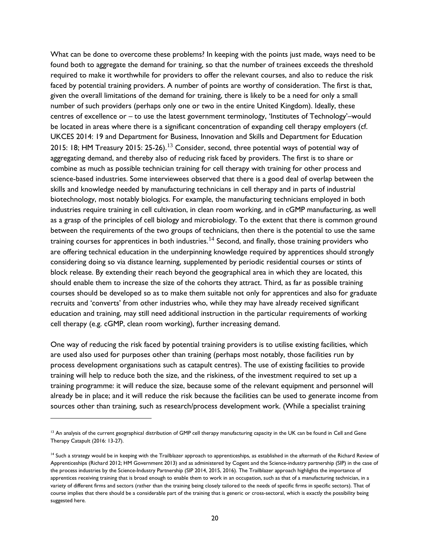What can be done to overcome these problems? In keeping with the points just made, ways need to be found both to aggregate the demand for training, so that the number of trainees exceeds the threshold required to make it worthwhile for providers to offer the relevant courses, and also to reduce the risk faced by potential training providers. A number of points are worthy of consideration. The first is that, given the overall limitations of the demand for training, there is likely to be a need for only a small number of such providers (perhaps only one or two in the entire United Kingdom). Ideally, these centres of excellence or – to use the latest government terminology, 'Institutes of Technology'–would be located in areas where there is a significant concentration of expanding cell therapy employers (cf. UKCES 2014: 19 and Department for Business, Innovation and Skills and Department for Education 2015: 18; HM Treasury 2015: 25-26).<sup>[13](#page-20-0)</sup> Consider, second, three potential ways of potential way of aggregating demand, and thereby also of reducing risk faced by providers. The first is to share or combine as much as possible technician training for cell therapy with training for other process and science-based industries. Some interviewees observed that there is a good deal of overlap between the skills and knowledge needed by manufacturing technicians in cell therapy and in parts of industrial biotechnology, most notably biologics. For example, the manufacturing technicians employed in both industries require training in cell cultivation, in clean room working, and in cGMP manufacturing, as well as a grasp of the principles of cell biology and microbiology. To the extent that there is common ground between the requirements of the two groups of technicians, then there is the potential to use the same training courses for apprentices in both industries.<sup>[14](#page-20-1)</sup> Second, and finally, those training providers who are offering technical education in the underpinning knowledge required by apprentices should strongly considering doing so via distance learning, supplemented by periodic residential courses or stints of block release. By extending their reach beyond the geographical area in which they are located, this should enable them to increase the size of the cohorts they attract. Third, as far as possible training courses should be developed so as to make them suitable not only for apprentices and also for graduate recruits and 'converts' from other industries who, while they may have already received significant education and training, may still need additional instruction in the particular requirements of working cell therapy (e.g. cGMP, clean room working), further increasing demand.

One way of reducing the risk faced by potential training providers is to utilise existing facilities, which are used also used for purposes other than training (perhaps most notably, those facilities run by process development organisations such as catapult centres). The use of existing facilities to provide training will help to reduce both the size, and the riskiness, of the investment required to set up a training programme: it will reduce the size, because some of the relevant equipment and personnel will already be in place; and it will reduce the risk because the facilities can be used to generate income from sources other than training, such as research/process development work. (While a specialist training

j

<span id="page-20-0"></span><sup>&</sup>lt;sup>13</sup> An analysis of the current geographical distribution of GMP cell therapy manufacturing capacity in the UK can be found in Cell and Gene Therapy Catapult (2016: 13-27).

<span id="page-20-1"></span><sup>&</sup>lt;sup>14</sup> Such a strategy would be in keeping with the Trailblazer approach to apprenticeships, as established in the aftermath of the Richard Review of Apprenticeships (Richard 2012; HM Government 2013) and as administered by Cogent and the Science-industry partnership (SIP) in the case of the process industries by the Science-Industry Partnership (SIP 2014, 2015, 2016). The Trailblazer approach highlights the importance of apprentices receiving training that is broad enough to enable them to work in an occupation, such as that of a manufacturing technician, in a variety of different firms and sectors (rather than the training being closely tailored to the needs of specific firms in specific sectors). That of course implies that there should be a considerable part of the training that is generic or cross-sectoral, which is exactly the possibility being suggested here.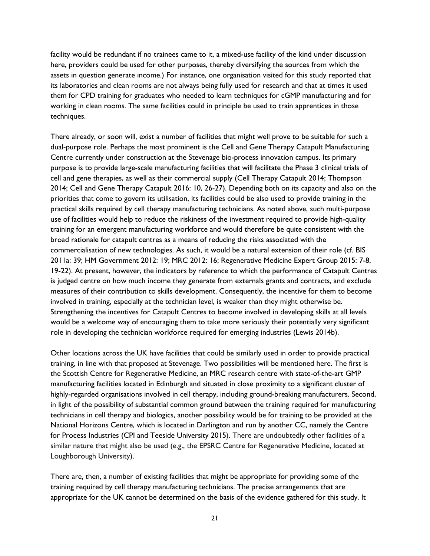facility would be redundant if no trainees came to it, a mixed-use facility of the kind under discussion here, providers could be used for other purposes, thereby diversifying the sources from which the assets in question generate income.) For instance, one organisation visited for this study reported that its laboratories and clean rooms are not always being fully used for research and that at times it used them for CPD training for graduates who needed to learn techniques for cGMP manufacturing and for working in clean rooms. The same facilities could in principle be used to train apprentices in those techniques.

There already, or soon will, exist a number of facilities that might well prove to be suitable for such a dual-purpose role. Perhaps the most prominent is the Cell and Gene Therapy Catapult Manufacturing Centre currently under construction at the Stevenage bio-process innovation campus. Its primary purpose is to provide large-scale manufacturing facilities that will facilitate the Phase 3 clinical trials of cell and gene therapies, as well as their commercial supply (Cell Therapy Catapult 2014; Thompson 2014; Cell and Gene Therapy Catapult 2016: 10, 26-27). Depending both on its capacity and also on the priorities that come to govern its utilisation, its facilities could be also used to provide training in the practical skills required by cell therapy manufacturing technicians. As noted above, such multi-purpose use of facilities would help to reduce the riskiness of the investment required to provide high-quality training for an emergent manufacturing workforce and would therefore be quite consistent with the broad rationale for catapult centres as a means of reducing the risks associated with the commercialisation of new technologies. As such, it would be a natural extension of their role (cf. BIS 2011a: 39; HM Government 2012: 19; MRC 2012: 16; Regenerative Medicine Expert Group 2015: 7-8, 19-22). At present, however, the indicators by reference to which the performance of Catapult Centres is judged centre on how much income they generate from externals grants and contracts, and exclude measures of their contribution to skills development. Consequently, the incentive for them to become involved in training, especially at the technician level, is weaker than they might otherwise be. Strengthening the incentives for Catapult Centres to become involved in developing skills at all levels would be a welcome way of encouraging them to take more seriously their potentially very significant role in developing the technician workforce required for emerging industries (Lewis 2014b).

Other locations across the UK have facilities that could be similarly used in order to provide practical training, in line with that proposed at Stevenage. Two possibilities will be mentioned here. The first is the Scottish Centre for Regenerative Medicine, an MRC research centre with state-of-the-art GMP manufacturing facilities located in Edinburgh and situated in close proximity to a significant cluster of highly-regarded organisations involved in cell therapy, including ground-breaking manufacturers. Second, in light of the possibility of substantial common ground between the training required for manufacturing technicians in cell therapy and biologics, another possibility would be for training to be provided at the National Horizons Centre, which is located in Darlington and run by another CC, namely the Centre for Process Industries (CPI and Teeside University 2015). There are undoubtedly other facilities of a similar nature that might also be used (e.g., the EPSRC Centre for Regenerative Medicine, located at Loughborough University).

There are, then, a number of existing facilities that might be appropriate for providing some of the training required by cell therapy manufacturing technicians. The precise arrangements that are appropriate for the UK cannot be determined on the basis of the evidence gathered for this study. It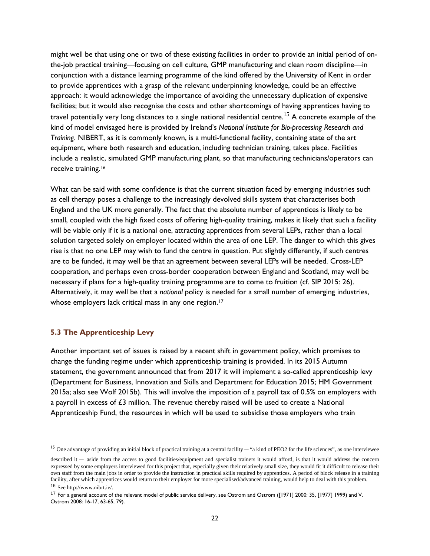might well be that using one or two of these existing facilities in order to provide an initial period of onthe-job practical training—focusing on cell culture, GMP manufacturing and clean room discipline—in conjunction with a distance learning programme of the kind offered by the University of Kent in order to provide apprentices with a grasp of the relevant underpinning knowledge, could be an effective approach: it would acknowledge the importance of avoiding the unnecessary duplication of expensive facilities; but it would also recognise the costs and other shortcomings of having apprentices having to travel potentially very long distances to a single national residential centre.<sup>[15](#page-22-0)</sup> A concrete example of the kind of model envisaged here is provided by Ireland's *National Institute for Bio-processing Research and Training*. NIBERT, as it is commonly known, is a multi-functional facility, containing state of the art equipment, where both research and education, including technician training, takes place. Facilities include a realistic, simulated GMP manufacturing plant, so that manufacturing technicians/operators can receive training.[16](#page-22-1)

What can be said with some confidence is that the current situation faced by emerging industries such as cell therapy poses a challenge to the increasingly devolved skills system that characterises both England and the UK more generally. The fact that the absolute number of apprentices is likely to be small, coupled with the high fixed costs of offering high-quality training, makes it likely that such a facility will be viable only if it is a national one, attracting apprentices from several LEPs, rather than a local solution targeted solely on employer located within the area of one LEP. The danger to which this gives rise is that no one LEP may wish to fund the centre in question. Put slightly differently, if such centres are to be funded, it may well be that an agreement between several LEPs will be needed. Cross-LEP cooperation, and perhaps even cross-border cooperation between England and Scotland, may well be necessary if plans for a high-quality training programme are to come to fruition (cf. SIP 2015: 26). Alternatively, it may well be that a *national* policy is needed for a small number of emerging industries, whose employers lack critical mass in any one region.<sup>[17](#page-22-2)</sup>

#### **5.3 The Apprenticeship Levy**

-

Another important set of issues is raised by a recent shift in government policy, which promises to change the funding regime under which apprenticeship training is provided. In its 2015 Autumn statement, the government announced that from 2017 it will implement a so-called apprenticeship levy (Department for Business, Innovation and Skills and Department for Education 2015; HM Government 2015a; also see Wolf 2015b). This will involve the imposition of a payroll tax of 0.5% on employers with a payroll in excess of  $£3$  million. The revenue thereby raised will be used to create a National Apprenticeship Fund, the resources in which will be used to subsidise those employers who train

<span id="page-22-0"></span><sup>&</sup>lt;sup>15</sup> One advantage of providing an initial block of practical training at a central facility  $-$  "a kind of PEO2 for the life sciences", as one interviewee

described it – aside from the access to good facilities/equipment and specialist trainers it would afford, is that it would address the concern expressed by some employers interviewed for this project that, especially given their relatively small size, they would fit it difficult to release their own staff from the main jobs in order to provide the instruction in practical skills required by apprentices. A period of block release in a training facility, after which apprentices would return to their employer for more specialised/advanced training, would help to deal with this problem. <sup>16</sup> See http://www.nibrt.ie/.

<span id="page-22-2"></span><span id="page-22-1"></span><sup>&</sup>lt;sup>17</sup> For a general account of the relevant model of public service delivery, see Ostrom and Ostrom ([1971] 2000: 35, [1977] 1999) and V. Ostrom 2008: 16-17, 63-65, 79).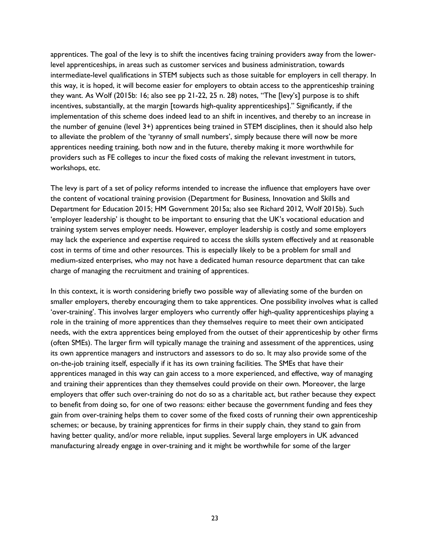apprentices. The goal of the levy is to shift the incentives facing training providers away from the lowerlevel apprenticeships, in areas such as customer services and business administration, towards intermediate-level qualifications in STEM subjects such as those suitable for employers in cell therapy. In this way, it is hoped, it will become easier for employers to obtain access to the apprenticeship training they want. As Wolf (2015b: 16; also see pp 21-22, 25 n. 28) notes, "The [levy's] purpose is to shift incentives, substantially, at the margin [towards high-quality apprenticeships]." Significantly, if the implementation of this scheme does indeed lead to an shift in incentives, and thereby to an increase in the number of genuine (level 3+) apprentices being trained in STEM disciplines, then it should also help to alleviate the problem of the 'tyranny of small numbers', simply because there will now be more apprentices needing training, both now and in the future, thereby making it more worthwhile for providers such as FE colleges to incur the fixed costs of making the relevant investment in tutors, workshops, etc.

The levy is part of a set of policy reforms intended to increase the influence that employers have over the content of vocational training provision (Department for Business, Innovation and Skills and Department for Education 2015; HM Government 2015a; also see Richard 2012, Wolf 2015b). Such 'employer leadership' is thought to be important to ensuring that the UK's vocational education and training system serves employer needs. However, employer leadership is costly and some employers may lack the experience and expertise required to access the skills system effectively and at reasonable cost in terms of time and other resources. This is especially likely to be a problem for small and medium-sized enterprises, who may not have a dedicated human resource department that can take charge of managing the recruitment and training of apprentices.

In this context, it is worth considering briefly two possible way of alleviating some of the burden on smaller employers, thereby encouraging them to take apprentices. One possibility involves what is called 'over-training'. This involves larger employers who currently offer high-quality apprenticeships playing a role in the training of more apprentices than they themselves require to meet their own anticipated needs, with the extra apprentices being employed from the outset of their apprenticeship by other firms (often SMEs). The larger firm will typically manage the training and assessment of the apprentices, using its own apprentice managers and instructors and assessors to do so. It may also provide some of the on-the-job training itself, especially if it has its own training facilities. The SMEs that have their apprentices managed in this way can gain access to a more experienced, and effective, way of managing and training their apprentices than they themselves could provide on their own. Moreover, the large employers that offer such over-training do not do so as a charitable act, but rather because they expect to benefit from doing so, for one of two reasons: either because the government funding and fees they gain from over-training helps them to cover some of the fixed costs of running their own apprenticeship schemes; or because, by training apprentices for firms in their supply chain, they stand to gain from having better quality, and/or more reliable, input supplies. Several large employers in UK advanced manufacturing already engage in over-training and it might be worthwhile for some of the larger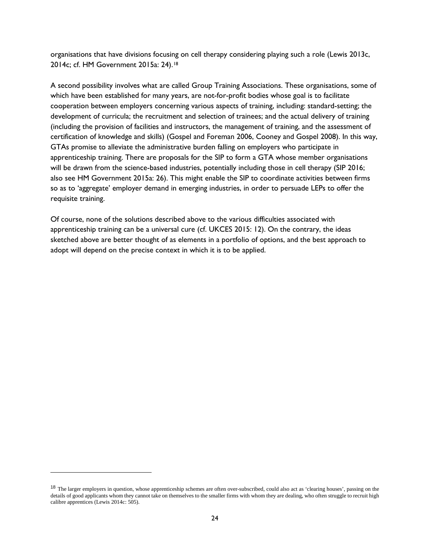organisations that have divisions focusing on cell therapy considering playing such a role (Lewis 2013c, 2014c; cf. HM Government 2015a: 24).[18](#page-24-0)

A second possibility involves what are called Group Training Associations. These organisations, some of which have been established for many years, are not-for-profit bodies whose goal is to facilitate cooperation between employers concerning various aspects of training, including: standard-setting; the development of curricula; the recruitment and selection of trainees; and the actual delivery of training (including the provision of facilities and instructors, the management of training, and the assessment of certification of knowledge and skills) (Gospel and Foreman 2006, Cooney and Gospel 2008). In this way, GTAs promise to alleviate the administrative burden falling on employers who participate in apprenticeship training. There are proposals for the SIP to form a GTA whose member organisations will be drawn from the science-based industries, potentially including those in cell therapy (SIP 2016; also see HM Government 2015a: 26). This might enable the SIP to coordinate activities between firms so as to 'aggregate' employer demand in emerging industries, in order to persuade LEPs to offer the requisite training.

Of course, none of the solutions described above to the various difficulties associated with apprenticeship training can be a universal cure (cf. UKCES 2015: 12). On the contrary, the ideas sketched above are better thought of as elements in a portfolio of options, and the best approach to adopt will depend on the precise context in which it is to be applied.

j

<span id="page-24-0"></span><sup>&</sup>lt;sup>18</sup> The larger employers in question, whose apprenticeship schemes are often over-subscribed, could also act as 'clearing houses', passing on the details of good applicants whom they cannot take on themselves to the smaller firms with whom they are dealing, who often struggle to recruit high calibre apprentices (Lewis 2014c: 505).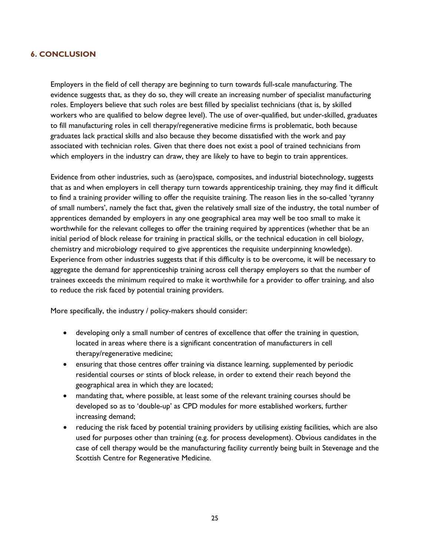### **6. CONCLUSION**

Employers in the field of cell therapy are beginning to turn towards full-scale manufacturing. The evidence suggests that, as they do so, they will create an increasing number of specialist manufacturing roles. Employers believe that such roles are best filled by specialist technicians (that is, by skilled workers who are qualified to below degree level). The use of over-qualified, but under-skilled, graduates to fill manufacturing roles in cell therapy/regenerative medicine firms is problematic, both because graduates lack practical skills and also because they become dissatisfied with the work and pay associated with technician roles. Given that there does not exist a pool of trained technicians from which employers in the industry can draw, they are likely to have to begin to train apprentices.

Evidence from other industries, such as (aero)space, composites, and industrial biotechnology, suggests that as and when employers in cell therapy turn towards apprenticeship training, they may find it difficult to find a training provider willing to offer the requisite training. The reason lies in the so-called 'tyranny of small numbers', namely the fact that, given the relatively small size of the industry, the total number of apprentices demanded by employers in any one geographical area may well be too small to make it worthwhile for the relevant colleges to offer the training required by apprentices (whether that be an initial period of block release for training in practical skills, or the technical education in cell biology, chemistry and microbiology required to give apprentices the requisite underpinning knowledge). Experience from other industries suggests that if this difficulty is to be overcome, it will be necessary to aggregate the demand for apprenticeship training across cell therapy employers so that the number of trainees exceeds the minimum required to make it worthwhile for a provider to offer training, and also to reduce the risk faced by potential training providers.

More specifically, the industry / policy-makers should consider:

- developing only a small number of centres of excellence that offer the training in question, located in areas where there is a significant concentration of manufacturers in cell therapy/regenerative medicine;
- ensuring that those centres offer training via distance learning, supplemented by periodic residential courses or stints of block release, in order to extend their reach beyond the geographical area in which they are located;
- mandating that, where possible, at least some of the relevant training courses should be developed so as to 'double-up' as CPD modules for more established workers, further increasing demand;
- reducing the risk faced by potential training providers by utilising *existing* facilities, which are also used for purposes other than training (e.g. for process development). Obvious candidates in the case of cell therapy would be the manufacturing facility currently being built in Stevenage and the Scottish Centre for Regenerative Medicine.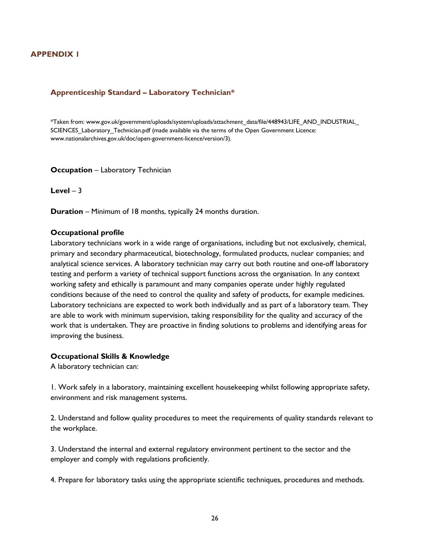# **APPENDIX 1**

#### **Apprenticeship Standard – Laboratory Technician\***

\*Taken from: www.gov.uk/government/uploads/system/uploads/attachment\_data/file/448943/LIFE\_AND\_INDUSTRIAL\_ SCIENCES Laboratory Technician.pdf (made available via the terms of the Open Government Licence: www.nationalarchives.gov.uk/doc/open-government-licence/version/3).

#### **Occupation** – Laboratory Technician

 $Level - 3$ 

**Duration** – Minimum of 18 months, typically 24 months duration.

#### **Occupational profile**

Laboratory technicians work in a wide range of organisations, including but not exclusively, chemical, primary and secondary pharmaceutical, biotechnology, formulated products, nuclear companies; and analytical science services. A laboratory technician may carry out both routine and one-off laboratory testing and perform a variety of technical support functions across the organisation. In any context working safety and ethically is paramount and many companies operate under highly regulated conditions because of the need to control the quality and safety of products, for example medicines. Laboratory technicians are expected to work both individually and as part of a laboratory team. They are able to work with minimum supervision, taking responsibility for the quality and accuracy of the work that is undertaken. They are proactive in finding solutions to problems and identifying areas for improving the business.

#### **Occupational Skills & Knowledge**

A laboratory technician can:

1. Work safely in a laboratory, maintaining excellent housekeeping whilst following appropriate safety, environment and risk management systems.

2. Understand and follow quality procedures to meet the requirements of quality standards relevant to the workplace.

3. Understand the internal and external regulatory environment pertinent to the sector and the employer and comply with regulations proficiently.

4. Prepare for laboratory tasks using the appropriate scientific techniques, procedures and methods.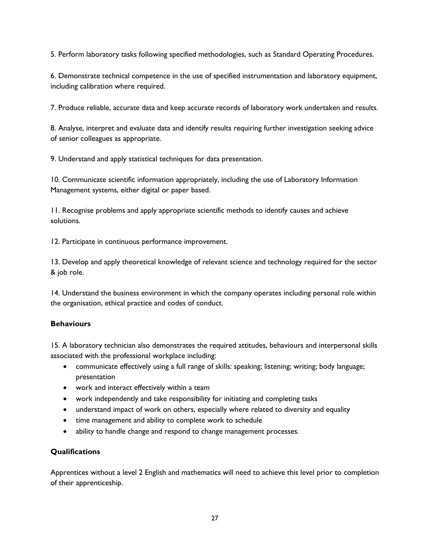5. Perform laboratory tasks following specified methodologies, such as Standard Operating Procedures.

6. Demonstrate technical competence in the use of specified instrumentation and laboratory equipment, including calibration where required.

7. Produce reliable, accurate data and keep accurate records of laboratory work undertaken and results.

8. Analyse, interpret and evaluate data and identify results requiring further investigation seeking advice of senior colleagues as appropriate.

9. Understand and apply statistical techniques for data presentation.

10. Communicate scientific information appropriately, including the use of Laboratory Information Management systems, either digital or paper based.

11. Recognise problems and apply appropriate scientific methods to identify causes and achieve solutions.

12. Participate in continuous performance improvement.

13. Develop and apply theoretical knowledge of relevant science and technology required for the sector & job role.

14. Understand the business environment in which the company operates including personal role within the organisation, ethical practice and codes of conduct.

## **Behaviours**

15. A laboratory technician also demonstrates the required attitudes, behaviours and interpersonal skills associated with the professional workplace including:

- communicate effectively using a full range of skills: speaking; listening; writing; body language; presentation
- work and interact effectively within a team
- work independently and take responsibility for initiating and completing tasks
- understand impact of work on others, especially where related to diversity and equality
- time management and ability to complete work to schedule
- ability to handle change and respond to change management processes.

## **Qualifications**

Apprentices without a level 2 English and mathematics will need to achieve this level prior to completion of their apprenticeship.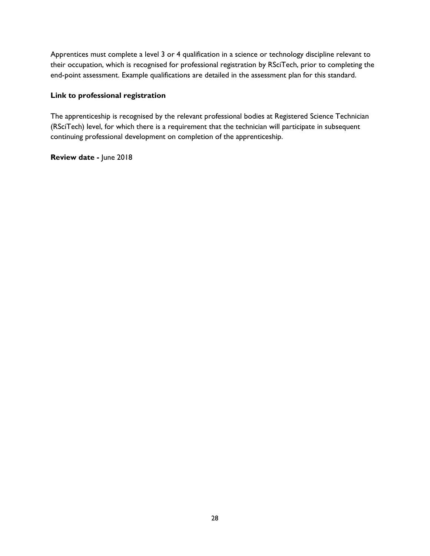Apprentices must complete a level 3 or 4 qualification in a science or technology discipline relevant to their occupation, which is recognised for professional registration by RSciTech, prior to completing the end-point assessment. Example qualifications are detailed in the assessment plan for this standard.

### **Link to professional registration**

The apprenticeship is recognised by the relevant professional bodies at Registered Science Technician (RSciTech) level, for which there is a requirement that the technician will participate in subsequent continuing professional development on completion of the apprenticeship.

**Review date -** June 2018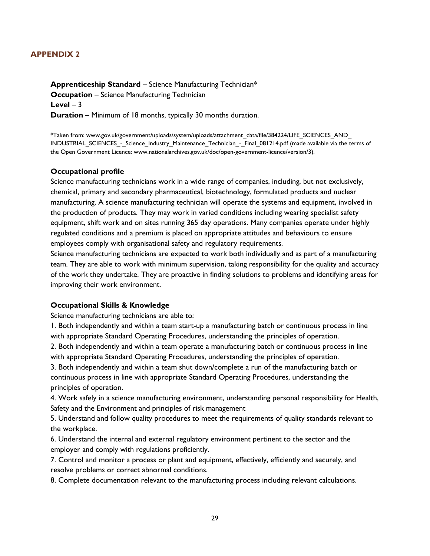## **APPENDIX 2**

**Apprenticeship Standard** – Science Manufacturing Technician\* **Occupation** – Science Manufacturing Technician  $Level - 3$ **Duration** – Minimum of 18 months, typically 30 months duration.

\*Taken from: www.gov.uk/government/uploads/system/uploads/attachment\_data/file/384224/LIFE\_SCIENCES\_AND\_ INDUSTRIAL\_SCIENCES - Science\_Industry\_Maintenance\_Technician - Final\_081214.pdf (made available via the terms of the Open Government Licence: www.nationalarchives.gov.uk/doc/open-government-licence/version/3).

### **Occupational profile**

Science manufacturing technicians work in a wide range of companies, including, but not exclusively, chemical, primary and secondary pharmaceutical, biotechnology, formulated products and nuclear manufacturing. A science manufacturing technician will operate the systems and equipment, involved in the production of products. They may work in varied conditions including wearing specialist safety equipment, shift work and on sites running 365 day operations. Many companies operate under highly regulated conditions and a premium is placed on appropriate attitudes and behaviours to ensure employees comply with organisational safety and regulatory requirements.

Science manufacturing technicians are expected to work both individually and as part of a manufacturing team. They are able to work with minimum supervision, taking responsibility for the quality and accuracy of the work they undertake. They are proactive in finding solutions to problems and identifying areas for improving their work environment.

## **Occupational Skills & Knowledge**

Science manufacturing technicians are able to:

1. Both independently and within a team start-up a manufacturing batch or continuous process in line with appropriate Standard Operating Procedures, understanding the principles of operation.

2. Both independently and within a team operate a manufacturing batch or continuous process in line with appropriate Standard Operating Procedures, understanding the principles of operation.

3. Both independently and within a team shut down/complete a run of the manufacturing batch or continuous process in line with appropriate Standard Operating Procedures, understanding the principles of operation.

4. Work safely in a science manufacturing environment, understanding personal responsibility for Health, Safety and the Environment and principles of risk management

5. Understand and follow quality procedures to meet the requirements of quality standards relevant to the workplace.

6. Understand the internal and external regulatory environment pertinent to the sector and the employer and comply with regulations proficiently.

7. Control and monitor a process or plant and equipment, effectively, efficiently and securely, and resolve problems or correct abnormal conditions.

8. Complete documentation relevant to the manufacturing process including relevant calculations.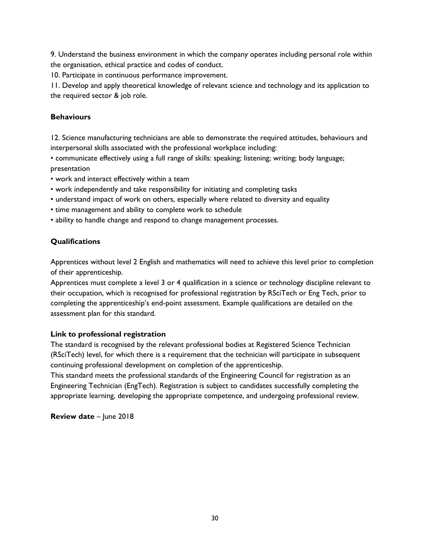9. Understand the business environment in which the company operates including personal role within the organisation, ethical practice and codes of conduct.

10. Participate in continuous performance improvement.

11. Develop and apply theoretical knowledge of relevant science and technology and its application to the required sector & job role.

### **Behaviours**

12. Science manufacturing technicians are able to demonstrate the required attitudes, behaviours and interpersonal skills associated with the professional workplace including:

• communicate effectively using a full range of skills: speaking; listening; writing; body language; presentation

- work and interact effectively within a team
- work independently and take responsibility for initiating and completing tasks
- understand impact of work on others, especially where related to diversity and equality
- time management and ability to complete work to schedule
- ability to handle change and respond to change management processes.

## **Qualifications**

Apprentices without level 2 English and mathematics will need to achieve this level prior to completion of their apprenticeship.

Apprentices must complete a level 3 or 4 qualification in a science or technology discipline relevant to their occupation, which is recognised for professional registration by RSciTech or Eng Tech, prior to completing the apprenticeship's end-point assessment. Example qualifications are detailed on the assessment plan for this standard.

#### **Link to professional registration**

The standard is recognised by the relevant professional bodies at Registered Science Technician (RSciTech) level, for which there is a requirement that the technician will participate in subsequent continuing professional development on completion of the apprenticeship.

This standard meets the professional standards of the Engineering Council for registration as an Engineering Technician (EngTech). Registration is subject to candidates successfully completing the appropriate learning, developing the appropriate competence, and undergoing professional review.

**Review date** – June 2018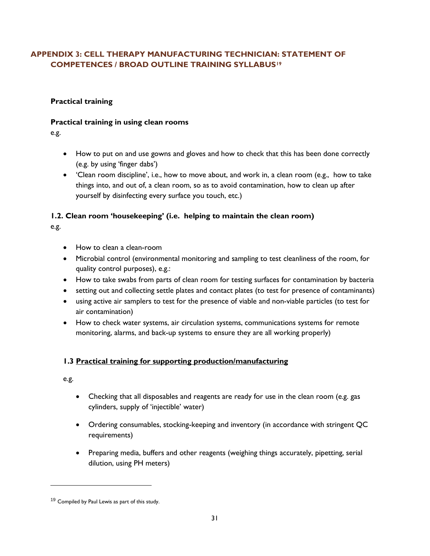# **APPENDIX 3: CELL THERAPY MANUFACTURING TECHNICIAN: STATEMENT OF COMPETENCES / BROAD OUTLINE TRAINING SYLLABUS[19](#page-31-0)**

# **Practical training**

## **Practical training in using clean rooms**

e.g.

- How to put on and use gowns and gloves and how to check that this has been done correctly (e.g. by using 'finger dabs')
- 'Clean room discipline', i.e., how to move about, and work in, a clean room (e.g., how to take things into, and out of, a clean room, so as to avoid contamination, how to clean up after yourself by disinfecting every surface you touch, etc.)

# **1.2. Clean room 'housekeeping' (i.e. helping to maintain the clean room)**

e.g.

- How to clean a clean-room
- Microbial control (environmental monitoring and sampling to test cleanliness of the room, for quality control purposes), e.g.:
- How to take swabs from parts of clean room for testing surfaces for contamination by bacteria
- setting out and collecting settle plates and contact plates (to test for presence of contaminants)
- using active air samplers to test for the presence of viable and non-viable particles (to test for air contamination)
- How to check water systems, air circulation systems, communications systems for remote monitoring, alarms, and back-up systems to ensure they are all working properly)

# **1.3 Practical training for supporting production/manufacturing**

e.g.

l

- Checking that all disposables and reagents are ready for use in the clean room (e.g. gas cylinders, supply of 'injectible' water)
- Ordering consumables, stocking-keeping and inventory (in accordance with stringent QC requirements)
- Preparing media, buffers and other reagents (weighing things accurately, pipetting, serial dilution, using PH meters)

<span id="page-31-0"></span><sup>&</sup>lt;sup>19</sup> Compiled by Paul Lewis as part of this study.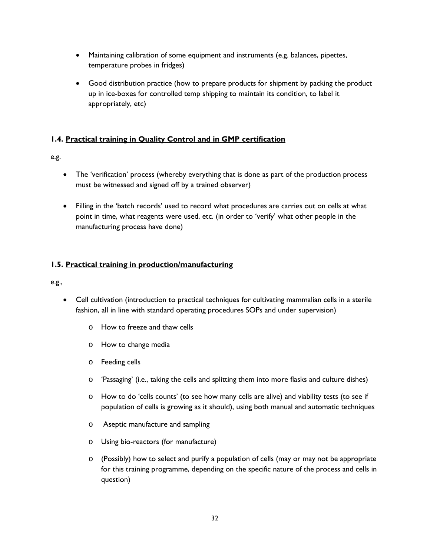- Maintaining calibration of some equipment and instruments (e.g. balances, pipettes, temperature probes in fridges)
- Good distribution practice (how to prepare products for shipment by packing the product up in ice-boxes for controlled temp shipping to maintain its condition, to label it appropriately, etc)

# **1.4. Practical training in Quality Control and in GMP certification**

# e.g.

- The 'verification' process (whereby everything that is done as part of the production process must be witnessed and signed off by a trained observer)
- Filling in the 'batch records' used to record what procedures are carries out on cells at what point in time, what reagents were used, etc. (in order to 'verify' what other people in the manufacturing process have done)

# **1.5. Practical training in production/manufacturing**

e.g.,

- Cell cultivation (introduction to practical techniques for cultivating mammalian cells in a sterile fashion, all in line with standard operating procedures SOPs and under supervision)
	- o How to freeze and thaw cells
	- o How to change media
	- o Feeding cells
	- $\circ$  'Passaging' (i.e., taking the cells and splitting them into more flasks and culture dishes)
	- o How to do 'cells counts' (to see how many cells are alive) and viability tests (to see if population of cells is growing as it should), using both manual and automatic techniques
	- o Aseptic manufacture and sampling
	- o Using bio-reactors (for manufacture)
	- $\circ$  (Possibly) how to select and purify a population of cells (may or may not be appropriate for this training programme, depending on the specific nature of the process and cells in question)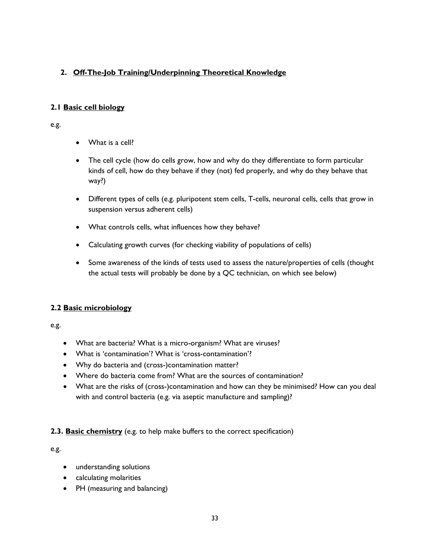# **2. Off-The-Job Training/Underpinning Theoretical Knowledge**

# **2.1 Basic cell biology**

e.g.

- What is a cell?
- The cell cycle (how do cells grow, how and why do they differentiate to form particular kinds of cell, how do they behave if they (not) fed properly, and why do they behave that way?)
- Different types of cells (e.g. pluripotent stem cells, T-cells, neuronal cells, cells that grow in suspension versus adherent cells)
- What controls cells, what influences how they behave?
- Calculating growth curves (for checking viability of populations of cells)
- Some awareness of the kinds of tests used to assess the nature/properties of cells (thought the actual tests will probably be done by a QC technician, on which see below)

# **2.2 Basic microbiology**

e.g.

- What are bacteria? What is a micro-organism? What are viruses?
- What is 'contamination'? What is 'cross-contamination'?
- Why do bacteria and (cross-)contamination matter?
- Where do bacteria come from? What are the sources of contamination?
- What are the risks of (cross-)contamination and how can they be minimised? How can you deal with and control bacteria (e.g. via aseptic manufacture and sampling)?

## **2.3. Basic chemistry** (e.g. to help make buffers to the correct specification)

e.g.

- understanding solutions
- calculating molarities
- PH (measuring and balancing)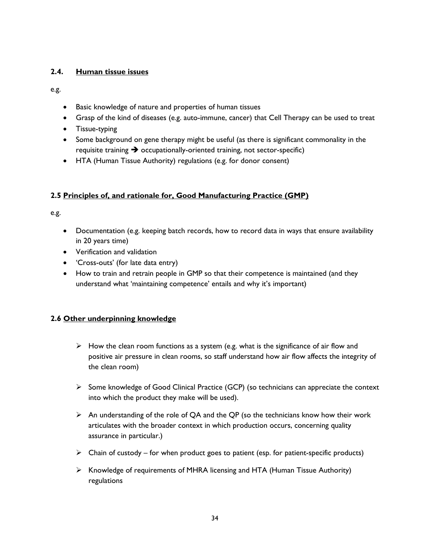## **2.4. Human tissue issues**

e.g.

- Basic knowledge of nature and properties of human tissues
- Grasp of the kind of diseases (e.g. auto-immune, cancer) that Cell Therapy can be used to treat
- Tissue-typing
- Some background on gene therapy might be useful (as there is significant commonality in the requisite training  $\rightarrow$  occupationally-oriented training, not sector-specific)
- HTA (Human Tissue Authority) regulations (e.g. for donor consent)

# **2.5 Principles of, and rationale for, Good Manufacturing Practice (GMP)**

e.g.

- Documentation (e.g. keeping batch records, how to record data in ways that ensure availability in 20 years time)
- Verification and validation
- 'Cross-outs' (for late data entry)
- How to train and retrain people in GMP so that their competence is maintained (and they understand what 'maintaining competence' entails and why it's important)

# **2.6 Other underpinning knowledge**

- $\triangleright$  How the clean room functions as a system (e.g. what is the significance of air flow and positive air pressure in clean rooms, so staff understand how air flow affects the integrity of the clean room)
- $\triangleright$  Some knowledge of Good Clinical Practice (GCP) (so technicians can appreciate the context into which the product they make will be used).
- $\triangleright$  An understanding of the role of QA and the QP (so the technicians know how their work articulates with the broader context in which production occurs, concerning quality assurance in particular.)
- $\triangleright$  Chain of custody for when product goes to patient (esp. for patient-specific products)
- $\triangleright$  Knowledge of requirements of MHRA licensing and HTA (Human Tissue Authority) regulations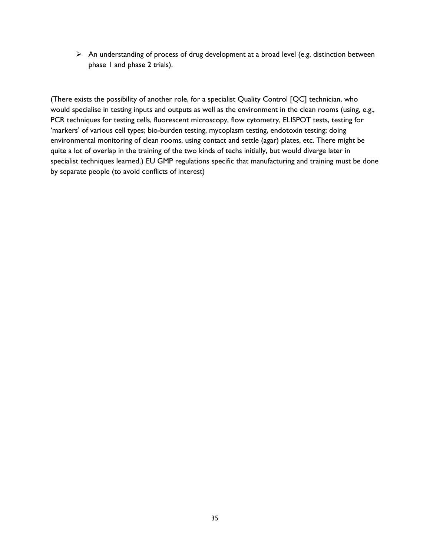$\triangleright$  An understanding of process of drug development at a broad level (e.g. distinction between phase 1 and phase 2 trials).

(There exists the possibility of another role, for a specialist Quality Control [QC] technician, who would specialise in testing inputs and outputs as well as the environment in the clean rooms (using, e.g., PCR techniques for testing cells, fluorescent microscopy, flow cytometry, ELISPOT tests, testing for 'markers' of various cell types; bio-burden testing, mycoplasm testing, endotoxin testing; doing environmental monitoring of clean rooms, using contact and settle (agar) plates, etc. There might be quite a lot of overlap in the training of the two kinds of techs initially, but would diverge later in specialist techniques learned.) EU GMP regulations specific that manufacturing and training must be done by separate people (to avoid conflicts of interest)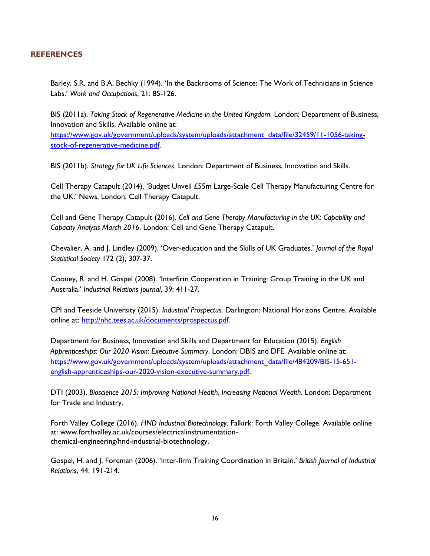### **REFERENCES**

Barley, S.R. and B.A. Bechky (1994). 'In the Backrooms of Science: The Work of Technicians in Science Labs.' *Work and Occupations*, 21: 85-126.

BIS (2011a). *Taking Stock of Regenerative Medicine in the United Kingdom*. London: Department of Business, Innovation and Skills. Available online at:

[https://www.gov.uk/government/uploads/system/uploads/attachment\\_data/file/32459/11-1056-taking](https://www.gov.uk/government/uploads/system/uploads/attachment_data/file/32459/11-1056-taking-stock-of-regenerative-medicine.pdf)[stock-of-regenerative-medicine.pdf.](https://www.gov.uk/government/uploads/system/uploads/attachment_data/file/32459/11-1056-taking-stock-of-regenerative-medicine.pdf)

BIS (2011b). *Strategy for UK Life Sciences*. London: Department of Business, Innovation and Skills.

Cell Therapy Catapult (2014). 'Budget Unveil £55m Large-Scale Cell Therapy Manufacturing Centre for the UK.' News. London: Cell Therapy Catapult.

Cell and Gene Therapy Catapult (2016). *Cell and Gene Therapy Manufacturing in the UK: Capability and Capacity Analysis March 2016*. London: Cell and Gene Therapy Catapult.

Chevalier, A. and J. Lindley (2009). 'Over-education and the Skills of UK Graduates.' *Journal of the Royal Statistical Society* 172 (2), 307-37.

Cooney, R. and H. Gospel (2008). 'Interfirm Cooperation in Training: Group Training in the UK and Australia.' *Industrial Relations Journal*, 39: 411-27.

CPI and Teeside University (2015). *Industrial Prospectus*. Darlington: National Horizons Centre. Available online at: [http://nhc.tees.ac.uk/documents/prospectus.pdf.](http://nhc.tees.ac.uk/documents/prospectus.pdf) 

Department for Business, Innovation and Skills and Department for Education (2015). *English Apprenticeships: Our 2020 Vision: Executive Summary*. London: DBIS and DFE. Available online at: [https://www.gov.uk/government/uploads/system/uploads/attachment\\_data/file/484209/BIS-15-651](https://www.gov.uk/government/uploads/system/uploads/attachment_data/file/484209/BIS-15-651-english-apprenticeships-our-2020-vision-executive-summary.pdf) [english-apprenticeships-our-2020-vision-executive-summary.pdf.](https://www.gov.uk/government/uploads/system/uploads/attachment_data/file/484209/BIS-15-651-english-apprenticeships-our-2020-vision-executive-summary.pdf)

DTI (2003). *Bioscience 2015: Improving National Health, Increasing National Wealth*. London: Department for Trade and Industry.

Forth Valley College (2016). *HND Industrial Biotechnology*. Falkirk: Forth Valley College. Available online at: www.forthvalley.ac.uk/courses/electricalinstrumentationchemical-engineering/hnd-industrial-biotechnology.

Gospel, H. and J. Foreman (2006). 'Inter-firm Training Coordination in Britain.' *British Journal of Industrial Relations*, 44: 191-214.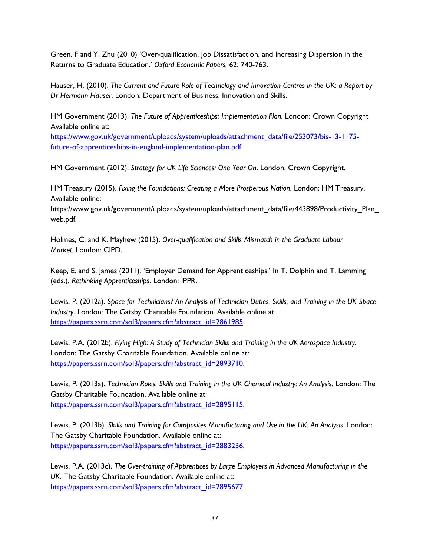Green, F and Y. Zhu (2010) 'Over-qualification, Job Dissatisfaction, and Increasing Dispersion in the Returns to Graduate Education.' *Oxford Economic Papers,* 62: 740-763.

Hauser, H. (2010). *The Current and Future Role of Technology and Innovation Centres in the UK: a Report by Dr Hermann Hauser*. London: Department of Business, Innovation and Skills.

HM Government (2013). *The Future of Apprenticeships: Implementation Plan*. London: Crown Copyright Available online at:

[https://www.gov.uk/government/uploads/system/uploads/attachment\\_data/file/253073/bis-13-1175](https://www.gov.uk/government/uploads/system/uploads/attachment_data/file/253073/bis-13-1175-future-of-apprenticeships-in-england-implementation-plan.pdf) [future-of-apprenticeships-in-england-implementation-plan.pdf.](https://www.gov.uk/government/uploads/system/uploads/attachment_data/file/253073/bis-13-1175-future-of-apprenticeships-in-england-implementation-plan.pdf) 

HM Government (2012). *Strategy for UK Life Sciences: One Year On*. London: Crown Copyright.

HM Treasury (2015). *Fixing the Foundations: Creating a More Prosperous Nation*. London: HM Treasury. Available online:

https://www.gov.uk/government/uploads/system/uploads/attachment\_data/file/443898/Productivity\_Plan\_ web.pdf.

Holmes, C. and K. Mayhew (2015). *Over-qualification and Skills Mismatch in the Graduate Labour Market.* London: CIPD.

Keep, E. and S. James (2011). 'Employer Demand for Apprenticeships.' In T. Dolphin and T. Lamming (eds.), *Rethinking Apprenticeships*. London: IPPR.

Lewis, P. (2012a). *Space for Technicians? An Analysis of Technician Duties, Skills, and Training in the UK Space Industry*. London: The Gatsby Charitable Foundation. Available online at: [https://papers.ssrn.com/sol3/papers.cfm?abstract\\_id=2861985.](https://papers.ssrn.com/sol3/papers.cfm?abstract_id=2861985)

Lewis, P.A. (2012b). *Flying High: A Study of Technician Skills and Training in the UK Aerospace Industry*. London: The Gatsby Charitable Foundation. Available online at: [https://papers.ssrn.com/sol3/papers.cfm?abstract\\_id=2893710.](https://papers.ssrn.com/sol3/papers.cfm?abstract_id=2893710)

Lewis, P. (2013a). *Technician Roles, Skills and Training in the UK Chemical Industry: An Analysis. London: The* Gatsby Charitable Foundation. Available online at: [https://papers.ssrn.com/sol3/papers.cfm?abstract\\_id=2895115.](https://papers.ssrn.com/sol3/papers.cfm?abstract_id=2895115)

Lewis, P. (2013b). *Skills and Training for Composites Manufacturing and Use in the UK: An Analysis*. London: The Gatsby Charitable Foundation. Available online at: [https://papers.ssrn.com/sol3/papers.cfm?abstract\\_id=2883236.](https://papers.ssrn.com/sol3/papers.cfm?abstract_id=2883236)

Lewis, P.A. (2013c). *The Over-training of Apprentices by Large Employers in Advanced Manufacturing in the UK*. The Gatsby Charitable Foundation. Available online at: [https://papers.ssrn.com/sol3/papers.cfm?abstract\\_id=2895677.](https://papers.ssrn.com/sol3/papers.cfm?abstract_id=2895677)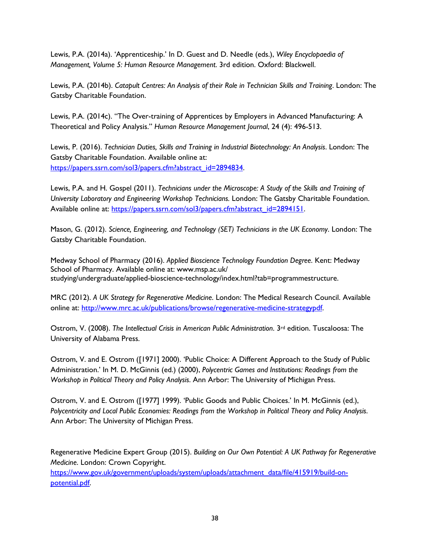Lewis, P.A. (2014a). 'Apprenticeship.' In D. Guest and D. Needle (eds.), *Wiley Encyclopaedia of Management, Volume 5: Human Resource Management*. 3rd edition. Oxford: Blackwell.

Lewis, P.A. (2014b). *Catapult Centres: An Analysis of their Role in Technician Skills and Training*. London: The Gatsby Charitable Foundation.

Lewis, P.A. (2014c). "The Over-training of Apprentices by Employers in Advanced Manufacturing: A Theoretical and Policy Analysis." *Human Resource Management Journal*, 24 (4): 496-513.

Lewis, P. (2016). *Technician Duties, Skills and Training in Industrial Biotechnology: An Analysis*. London: The Gatsby Charitable Foundation. Available online at: [https://papers.ssrn.com/sol3/papers.cfm?abstract\\_id=2894834.](https://papers.ssrn.com/sol3/papers.cfm?abstract_id=2894834)

Lewis, P.A. and H. Gospel (2011). *Technicians under the Microscope: A Study of the Skills and Training of University Laboratory and Engineering Workshop Technicians.* London: The Gatsby Charitable Foundation. Available online at: https://papers.ssrn.com/sol3/papers.cfm?abstract\_id=2894151.

Mason, G. (2012). *Science, Engineering, and Technology (SET) Technicians in the UK Economy*. London: The Gatsby Charitable Foundation.

Medway School of Pharmacy (2016). *Applied Bioscience Technology Foundation Degree*. Kent: Medway School of Pharmacy. Available online at: www.msp.ac.uk/ studying/undergraduate/applied-bioscience-technology/index.html?tab=programmestructure.

MRC (2012). *A UK Strategy for Regenerative Medicine*. London: The Medical Research Council. Available online at: [http://www.mrc.ac.uk/publications/browse/regenerative-medicine-strategypdf.](http://www.mrc.ac.uk/publications/browse/regenerative-medicine-strategypdf)

Ostrom, V. (2008). *The Intellectual Crisis in American Public Administration*. 3<sup>rd</sup> edition. Tuscaloosa: The University of Alabama Press.

Ostrom, V. and E. Ostrom ([1971] 2000). 'Public Choice: A Different Approach to the Study of Public Administration.' In M. D. McGinnis (ed.) (2000), *Polycentric Games and Institutions: Readings from the Workshop in Political Theory and Policy Analysis*. Ann Arbor: The University of Michigan Press.

Ostrom, V. and E. Ostrom ([1977] 1999). 'Public Goods and Public Choices.' In M. McGinnis (ed.), *Polycentricity and Local Public Economies: Readings from the Workshop in Political Theory and Policy Analysis*. Ann Arbor: The University of Michigan Press.

Regenerative Medicine Expert Group (2015). *Building on Our Own Potential: A UK Pathway for Regenerative Medicine*. London: Crown Copyright.

[https://www.gov.uk/government/uploads/system/uploads/attachment\\_data/file/415919/build-on](https://www.gov.uk/government/uploads/system/uploads/attachment_data/file/415919/build-on-potential.pdf)[potential.pdf.](https://www.gov.uk/government/uploads/system/uploads/attachment_data/file/415919/build-on-potential.pdf)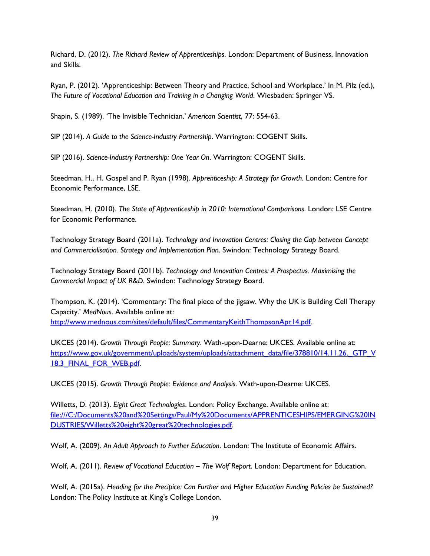Richard, D. (2012). *The Richard Review of Apprenticeships*. London: Department of Business, Innovation and Skills.

Ryan, P. (2012). 'Apprenticeship: Between Theory and Practice, School and Workplace.' In M. Pilz (ed.), *The Future of Vocational Education and Training in a Changing World*. Wiesbaden: Springer VS.

Shapin, S. (1989). 'The Invisible Technician.' *American Scientist*, 77: 554-63.

SIP (2014). *A Guide to the Science-Industry Partnership*. Warrington: COGENT Skills.

SIP (2016). *Science-Industry Partnership: One Year On*. Warrington: COGENT Skills.

Steedman, H., H. Gospel and P. Ryan (1998). *Apprenticeship: A Strategy for Growth*. London: Centre for Economic Performance, LSE.

Steedman, H. (2010). *The State of Apprenticeship in 2010: International Comparisons*. London: LSE Centre for Economic Performance.

Technology Strategy Board (2011a). *Technology and Innovation Centres: Closing the Gap between Concept and Commercialisation. Strategy and Implementation Plan*. Swindon: Technology Strategy Board.

Technology Strategy Board (2011b). *Technology and Innovation Centres: A Prospectus. Maximising the Commercial Impact of UK R&D*. Swindon: Technology Strategy Board.

Thompson, K. (2014). 'Commentary: The final piece of the jigsaw. Why the UK is Building Cell Therapy Capacity.' *MedNous*. Available online at: [http://www.mednous.com/sites/default/files/CommentaryKeithThompsonApr14.pdf.](http://www.mednous.com/sites/default/files/CommentaryKeithThompsonApr14.pdf) 

UKCES (2014). *Growth Through People: Summary*. Wath-upon-Dearne: UKCES. Available online at: https://www.gov.uk/government/uploads/system/uploads/attachment\_data/file/378810/14.11.26. GTP\_V 18.3 FINAL FOR WEB.pdf.

UKCES (2015). *Growth Through People: Evidence and Analysis*. Wath-upon-Dearne: UKCES.

Willetts, D. (2013). *Eight Great Technologies*. London: Policy Exchange. Available online at: file:///C:/Documents%20and%20Settings/Paul/My%20Documents/APPRENTICESHIPS/EMERGING%20IN DUSTRIES/Willetts%20eight%20great%20technologies.pdf.

Wolf, A. (2009). *An Adult Approach to Further Education*. London: The Institute of Economic Affairs.

Wolf, A. (2011). *Review of Vocational Education – The Wolf Report*. London: Department for Education.

Wolf, A. (2015a). *Heading for the Precipice: Can Further and Higher Education Funding Policies be Sustained?*  London: The Policy Institute at King's College London.